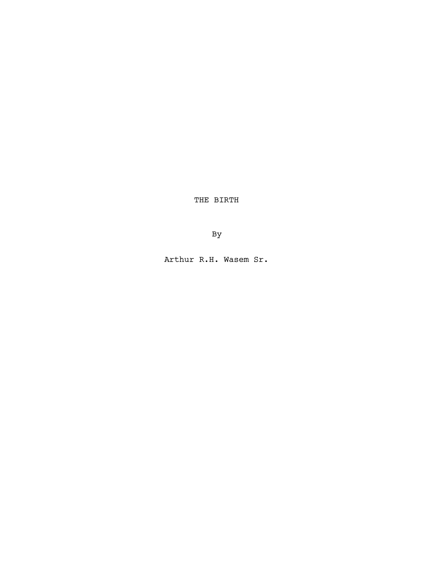THE BIRTH

By

Arthur R.H. Wasem Sr.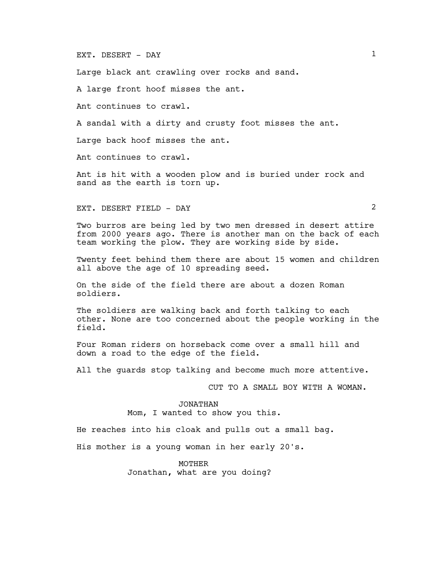# EXT. DESERT - DAY 1

Large black ant crawling over rocks and sand.

A large front hoof misses the ant.

Ant continues to crawl.

A sandal with a dirty and crusty foot misses the ant.

Large back hoof misses the ant.

Ant continues to crawl.

Ant is hit with a wooden plow and is buried under rock and sand as the earth is torn up.

EXT. DESERT FIELD - DAY 2

Two burros are being led by two men dressed in desert attire from 2000 years ago. There is another man on the back of each team working the plow. They are working side by side.

Twenty feet behind them there are about 15 women and children all above the age of 10 spreading seed.

On the side of the field there are about a dozen Roman soldiers.

The soldiers are walking back and forth talking to each other. None are too concerned about the people working in the field.

Four Roman riders on horseback come over a small hill and down a road to the edge of the field.

All the guards stop talking and become much more attentive.

CUT TO A SMALL BOY WITH A WOMAN.

#### JONATHAN

Mom, I wanted to show you this.

He reaches into his cloak and pulls out a small bag.

His mother is a young woman in her early 20's.

**MOTHER** 

Jonathan, what are you doing?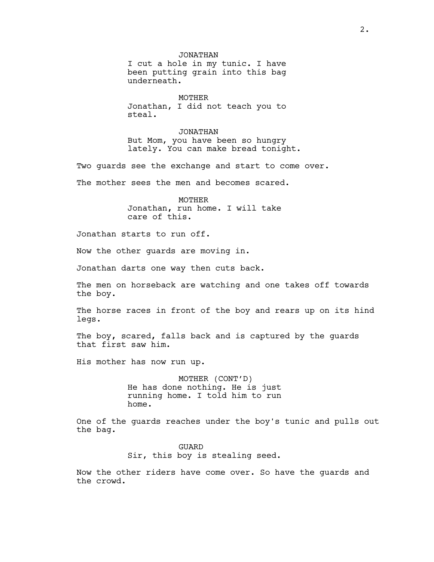JONATHAN I cut a hole in my tunic. I have been putting grain into this bag underneath.

MOTHER Jonathan, I did not teach you to steal.

JONATHAN But Mom, you have been so hungry lately. You can make bread tonight.

Two guards see the exchange and start to come over. The mother sees the men and becomes scared.

> MOTHER Jonathan, run home. I will take care of this.

Jonathan starts to run off.

Now the other guards are moving in.

Jonathan darts one way then cuts back.

The men on horseback are watching and one takes off towards the boy.

The horse races in front of the boy and rears up on its hind legs.

The boy, scared, falls back and is captured by the quards that first saw him.

His mother has now run up.

MOTHER (CONT'D) He has done nothing. He is just running home. I told him to run home.

One of the guards reaches under the boy's tunic and pulls out the bag.

> GUARD Sir, this boy is stealing seed.

Now the other riders have come over. So have the guards and the crowd.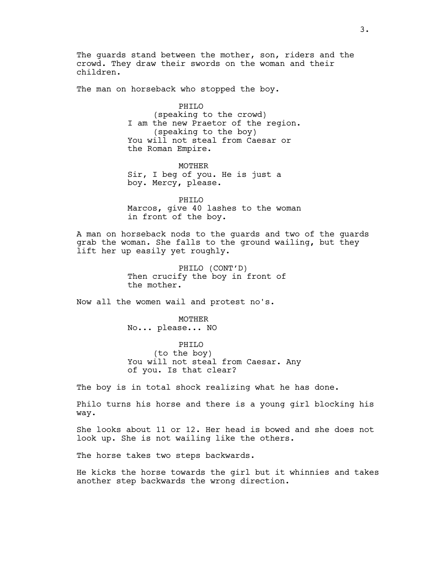The quards stand between the mother, son, riders and the crowd. They draw their swords on the woman and their children.

The man on horseback who stopped the boy.

PHILO (speaking to the crowd) I am the new Praetor of the region. (speaking to the boy) You will not steal from Caesar or the Roman Empire.

MOTHER Sir, I beg of you. He is just a boy. Mercy, please.

PHILO Marcos, give 40 lashes to the woman in front of the boy.

A man on horseback nods to the guards and two of the guards grab the woman. She falls to the ground wailing, but they lift her up easily yet roughly.

> PHILO (CONT'D) Then crucify the boy in front of the mother.

Now all the women wail and protest no's.

MOTHER No... please... NO

PHILO (to the boy) You will not steal from Caesar. Any of you. Is that clear?

The boy is in total shock realizing what he has done.

Philo turns his horse and there is a young girl blocking his way.

She looks about 11 or 12. Her head is bowed and she does not look up. She is not wailing like the others.

The horse takes two steps backwards.

He kicks the horse towards the girl but it whinnies and takes another step backwards the wrong direction.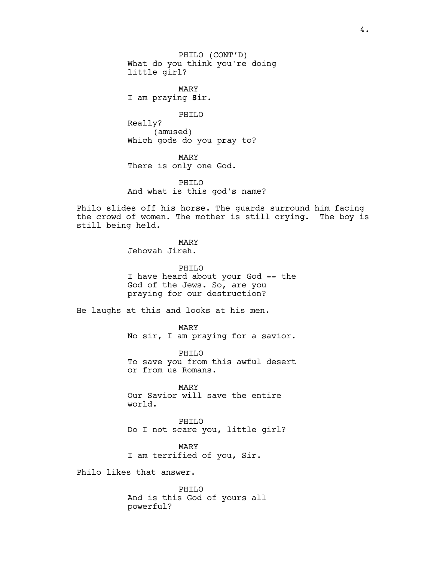PHILO (CONT'D) What do you think you're doing little girl?

MARY I am praying Sir.

PHILO

Really? (amused) Which gods do you pray to?

MARY There is only one God.

PHILO And what is this god's name?

Philo slides off his horse. The guards surround him facing the crowd of women. The mother is still crying. The boy is still being held.

MARY

Jehovah Jireh.

PHILO I have heard about your God -- the God of the Jews. So, are you praying for our destruction?

He laughs at this and looks at his men.

MARY No sir, I am praying for a savior.

PHILO To save you from this awful desert or from us Romans.

MARY Our Savior will save the entire world.

PHILO Do I not scare you, little girl?

MARY I am terrified of you, Sir.

Philo likes that answer.

PHILO And is this God of yours all powerful?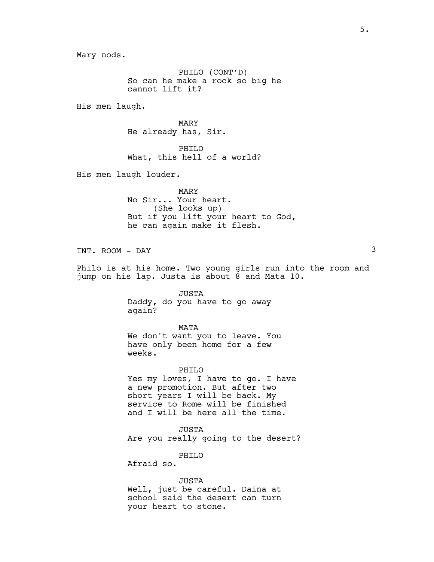Mary nods.

PHILO (CONT'D) So can he make a rock so big he cannot lift it?

His men laugh.

MARY He already has, Sir.

PHILO What, this hell of a world?

His men laugh louder.

MARY No Sir... Your heart. (She looks up) But if you lift your heart to God, he can again make it flesh.

INT. ROOM – DAY 3

Philo is at his home. Two young girls run into the room and jump on his lap. Justa is about 8 and Mata 10.

> JUSTA Daddy, do you have to go away again?

## MATA

We don't want you to leave. You have only been home for a few weeks.

PHILO Yes my loves, I have to go. I have a new promotion. But after two short years I will be back. My service to Rome will be finished and I will be here all the time.

JUSTA Are you really going to the desert?

PHILO

Afraid so.

JUSTA Well, just be careful. Daina at school said the desert can turn your heart to stone.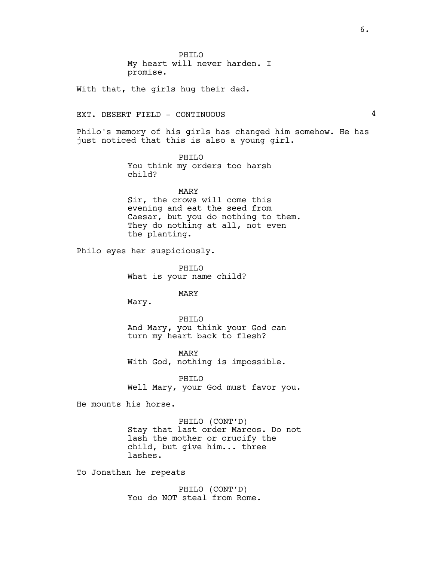PHILO My heart will never harden. I promise.

With that, the girls hug their dad.

# EXT. DESERT FIELD - CONTINUOUS 4

Philo's memory of his girls has changed him somehow. He has just noticed that this is also a young girl.

> PHILO You think my orders too harsh child?

MARY Sir, the crows will come this evening and eat the seed from Caesar, but you do nothing to them. They do nothing at all, not even the planting.

Philo eyes her suspiciously.

PHILO What is your name child?

MARY

Mary.

PHILO And Mary, you think your God can turn my heart back to flesh?

MARY With God, nothing is impossible.

PHILO Well Mary, your God must favor you.

He mounts his horse.

PHILO (CONT'D) Stay that last order Marcos. Do not lash the mother or crucify the child, but give him... three lashes.

To Jonathan he repeats

PHILO (CONT'D) You do NOT steal from Rome.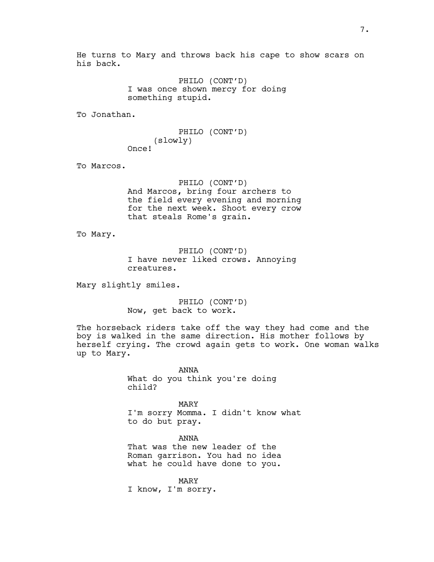He turns to Mary and throws back his cape to show scars on his back.

> PHILO (CONT'D) I was once shown mercy for doing something stupid.

To Jonathan.

PHILO (CONT'D) (slowly) Once!

To Marcos.

PHILO (CONT'D) And Marcos, bring four archers to the field every evening and morning for the next week. Shoot every crow that steals Rome's grain.

To Mary.

PHILO (CONT'D) I have never liked crows. Annoying creatures.

Mary slightly smiles.

PHILO (CONT'D) Now, get back to work.

The horseback riders take off the way they had come and the boy is walked in the same direction. His mother follows by herself crying. The crowd again gets to work. One woman walks up to Mary.

> ANNA What do you think you're doing child?

MARY I'm sorry Momma. I didn't know what to do but pray.

ANNA That was the new leader of the Roman garrison. You had no idea what he could have done to you.

MARY I know, I'm sorry.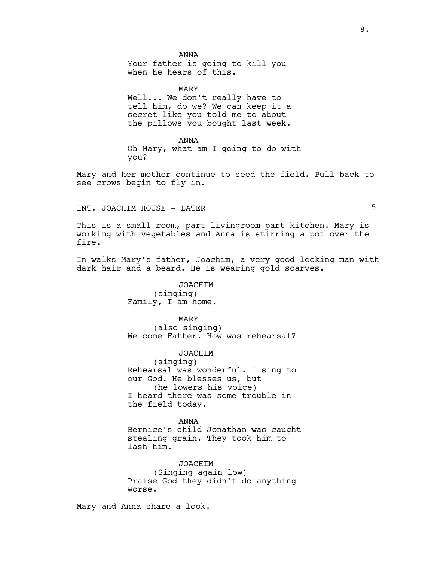ANNA

Your father is going to kill you when he hears of this.

MARY

Well... We don't really have to tell him, do we? We can keep it a secret like you told me to about the pillows you bought last week.

ANNA Oh Mary, what am I going to do with you?

Mary and her mother continue to seed the field. Pull back to see crows begin to fly in.

INT. JOACHIM HOUSE - LATER

This is a small room, part livingroom part kitchen. Mary is working with vegetables and Anna is stirring a pot over the fire.

In walks Mary's father, Joachim, a very good looking man with dark hair and a beard. He is wearing gold scarves.

> JOACHIM (singing) Family, I am home.

MARY (also singing) Welcome Father. How was rehearsal?

JOACHIM

(singing) Rehearsal was wonderful. I sing to our God. He blesses us, but (he lowers his voice) I heard there was some trouble in the field today.

ANNA

Bernice's child Jonathan was caught stealing grain. They took him to lash him.

JOACHIM (Singing again low) Praise God they didn't do anything worse.

Mary and Anna share a look.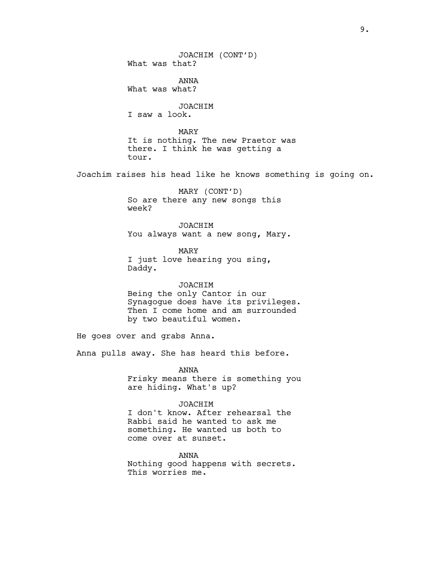JOACHIM (CONT'D) What was that? ANNA What was what? JOACHIM I saw a look. MARY It is nothing. The new Praetor was there. I think he was getting a tour. Joachim raises his head like he knows something is going on. MARY (CONT'D) So are there any new songs this week? JOACHIM You always want a new song, Mary. MARY I just love hearing you sing, Daddy. JOACHIM Being the only Cantor in our Synagogue does have its privileges. Then I come home and am surrounded by two beautiful women. He goes over and grabs Anna. Anna pulls away. She has heard this before. ANNA Frisky means there is something you are hiding. What's up? JOACHIM I don't know. After rehearsal the Rabbi said he wanted to ask me

come over at sunset.

something. He wanted us both to

ANNA Nothing good happens with secrets. This worries me.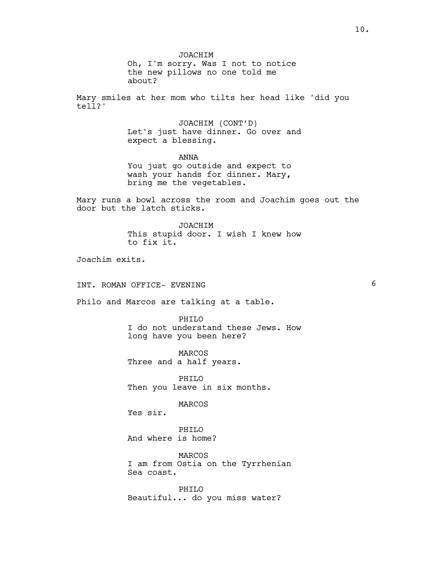JOACHIM

Oh, I'm sorry. Was I not to notice the new pillows no one told me about?

Mary smiles at her mom who tilts her head like 'did you tell?'

> JOACHIM (CONT'D) Let's just have dinner. Go over and expect a blessing.

ANNA You just go outside and expect to wash your hands for dinner. Mary, bring me the vegetables.

Mary runs a bowl across the room and Joachim goes out the door but the latch sticks.

> JOACHIM This stupid door. I wish I knew how to fix it.

Joachim exits.

# INT. ROMAN OFFICE- EVENING 6

Philo and Marcos are talking at a table.

PHTLO I do not understand these Jews. How long have you been here?

MARCOS Three and a half years.

PHILO Then you leave in six months.

MARCOS

Yes sir.

PHT<sub>IO</sub> And where is home?

MARCOS I am from Ostia on the Tyrrhenian Sea coast.

PHILO Beautiful... do you miss water?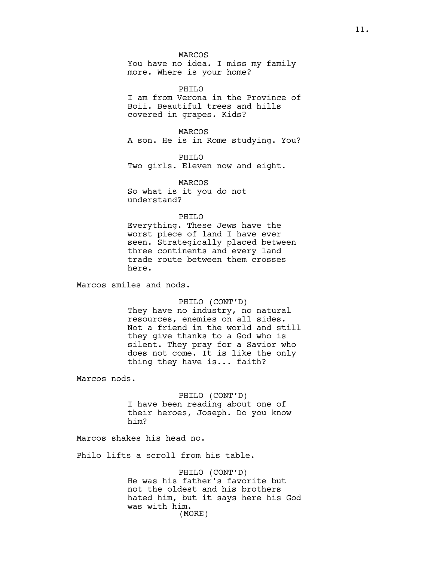**MARCOS** You have no idea. I miss my family more. Where is your home?

PHILO I am from Verona in the Province of Boii. Beautiful trees and hills covered in grapes. Kids?

MARCOS A son. He is in Rome studying. You?

PHILO Two girls. Eleven now and eight.

MARCOS So what is it you do not understand?

## PHILO

Everything. These Jews have the worst piece of land I have ever seen. Strategically placed between three continents and every land trade route between them crosses here.

Marcos smiles and nods.

### PHILO (CONT'D)

They have no industry, no natural resources, enemies on all sides. Not a friend in the world and still they give thanks to a God who is silent. They pray for a Savior who does not come. It is like the only thing they have is... faith?

Marcos nods.

PHILO (CONT'D) I have been reading about one of their heroes, Joseph. Do you know him?

Marcos shakes his head no.

Philo lifts a scroll from his table.

PHILO (CONT'D) He was his father's favorite but not the oldest and his brothers hated him, but it says here his God was with him. (MORE)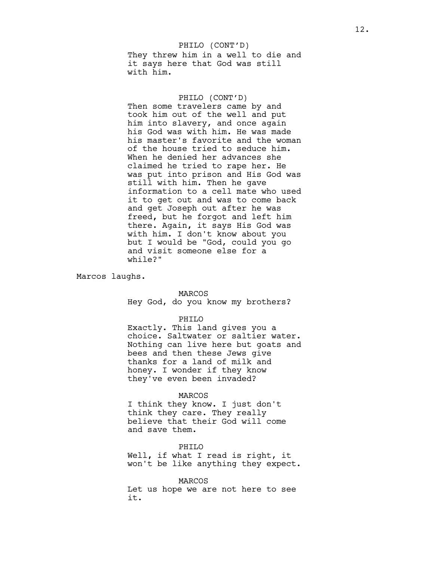They threw him in a well to die and it says here that God was still with him. PHILO (CONT'D)

## PHILO (CONT'D)

Then some travelers came by and took him out of the well and put him into slavery, and once again his God was with him. He was made his master's favorite and the woman of the house tried to seduce him. When he denied her advances she claimed he tried to rape her. He was put into prison and His God was still with him. Then he gave information to a cell mate who used it to get out and was to come back and get Joseph out after he was freed, but he forgot and left him there. Again, it says His God was with him. I don't know about you but I would be "God, could you go and visit someone else for a while?"

Marcos laughs.

## MARCOS

Hey God, do you know my brothers?

#### PHILO

Exactly. This land gives you a choice. Saltwater or saltier water. Nothing can live here but goats and bees and then these Jews give thanks for a land of milk and honey. I wonder if they know they've even been invaded?

### MARCOS

I think they know. I just don't think they care. They really believe that their God will come and save them.

## PHILO

Well, if what I read is right, it won't be like anything they expect.

#### MARCOS

Let us hope we are not here to see it.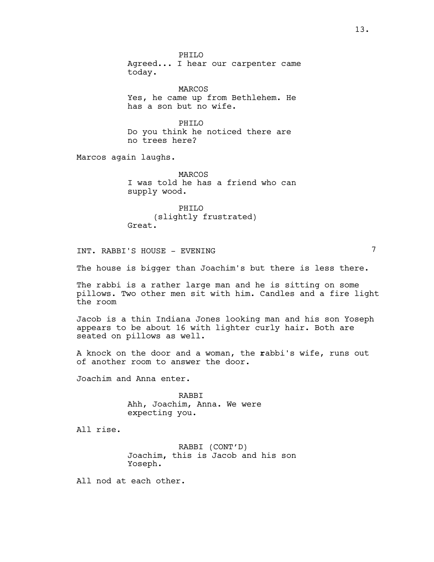PHTLO Agreed... I hear our carpenter came today.

MARCOS Yes, he came up from Bethlehem. He has a son but no wife.

PHILO Do you think he noticed there are no trees here?

Marcos again laughs.

MARCOS I was told he has a friend who can supply wood.

PHILO (slightly frustrated) Great.

INT. RABBI'S HOUSE - EVENING 7

The house is bigger than Joachim's but there is less there.

The rabbi is a rather large man and he is sitting on some pillows. Two other men sit with him. Candles and a fire light the room

Jacob is a thin Indiana Jones looking man and his son Yoseph appears to be about 16 with lighter curly hair. Both are seated on pillows as well.

A knock on the door and a woman, the rabbi's wife, runs out of another room to answer the door.

Joachim and Anna enter.

RABBI Ahh, Joachim, Anna. We were expecting you.

All rise.

RABBI (CONT'D) Joachim, this is Jacob and his son Yoseph.

All nod at each other.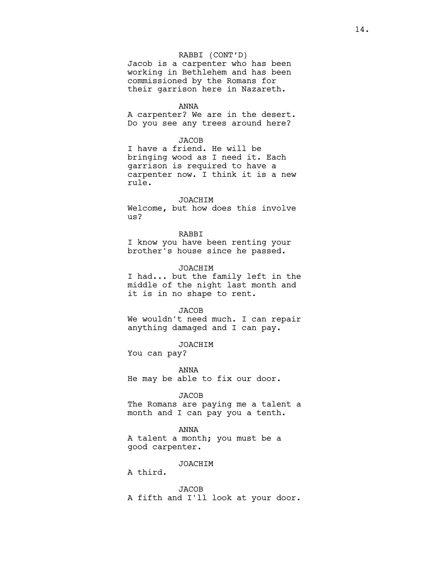## RABBI (CONT'D)

Jacob is a carpenter who has been working in Bethlehem and has been commissioned by the Romans for their garrison here in Nazareth.

### ANNA

A carpenter? We are in the desert. Do you see any trees around here?

## **JACOB**

I have a friend. He will be bringing wood as I need it. Each garrison is required to have a carpenter now. I think it is a new rule.

## JOACHIM

Welcome, but how does this involve us?

# RABBI

I know you have been renting your brother's house since he passed.

### JOACHIM

I had... but the family left in the middle of the night last month and it is in no shape to rent.

#### JACOB

We wouldn't need much. I can repair anything damaged and I can pay.

### JOACHIM

You can pay?

ANNA He may be able to fix our door.

### JACOB

The Romans are paying me a talent a month and I can pay you a tenth.

#### ANNA

A talent a month; you must be a good carpenter.

# JOACHIM

A third.

**JACOB** A fifth and I'll look at your door.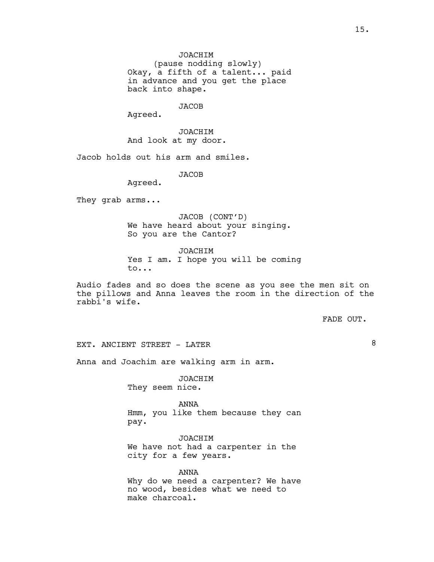(pause nodding slowly) Okay, a fifth of a talent... paid in advance and you get the place back into shape.

JACOB

Agreed.

JOACHIM And look at my door.

Jacob holds out his arm and smiles.

JACOB

Agreed.

They grab arms...

JACOB (CONT'D) We have heard about your singing. So you are the Cantor?

JOACHIM Yes I am. I hope you will be coming to...

Audio fades and so does the scene as you see the men sit on the pillows and Anna leaves the room in the direction of the rabbi's wife.

FADE OUT.

EXT. ANCIENT STREET - LATER

Anna and Joachim are walking arm in arm.

JOACHIM They seem nice.

ANNA Hmm, you like them because they can pay.

JOACHIM We have not had a carpenter in the city for a few years.

ANNA Why do we need a carpenter? We have no wood, besides what we need to make charcoal.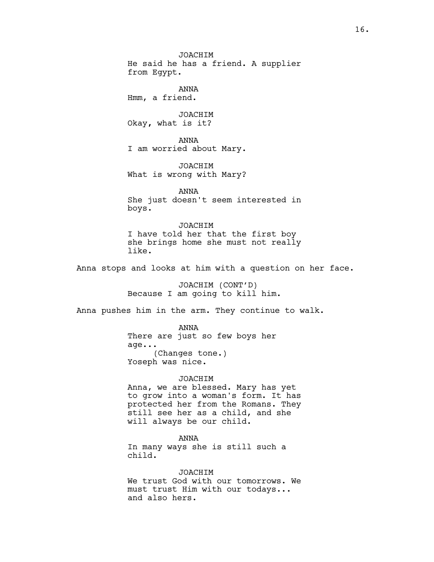JOACHIM He said he has a friend. A supplier from Egypt. ANNA Hmm, a friend. JOACHIM Okay, what is it? ANNA I am worried about Mary. JOACHIM What is wrong with Mary? ANNA She just doesn't seem interested in boys. JOACHIM I have told her that the first boy she brings home she must not really like. Anna stops and looks at him with a question on her face. JOACHIM (CONT'D) Because I am going to kill him. Anna pushes him in the arm. They continue to walk. ANNA There are just so few boys her age... (Changes tone.) Yoseph was nice. JOACHIM Anna, we are blessed. Mary has yet to grow into a woman's form. It has protected her from the Romans. They still see her as a child, and she will always be our child. ANNA In many ways she is still such a child. JOACHIM We trust God with our tomorrows. We

must trust Him with our todays... and also hers.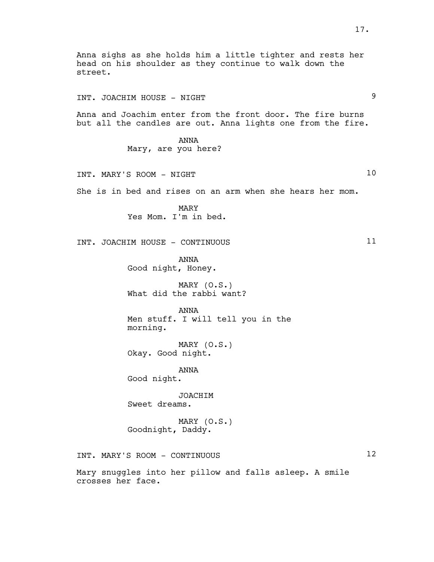Anna sighs as she holds him a little tighter and rests her head on his shoulder as they continue to walk down the street. INT. JOACHIM HOUSE - NIGHT Anna and Joachim enter from the front door. The fire burns but all the candles are out. Anna lights one from the fire. ANNA Mary, are you here? INT. MARY'S ROOM - NIGHT 10 She is in bed and rises on an arm when she hears her mom. MARY Yes Mom. I'm in bed. INT. JOACHIM HOUSE - CONTINUOUS 11 ANNA Good night, Honey. MARY (O.S.) What did the rabbi want? ANNA Men stuff. I will tell you in the morning. MARY (O.S.) Okay. Good night. ANNA Good night. JOACHIM Sweet dreams. MARY (O.S.) Goodnight, Daddy. INT. MARY'S ROOM - CONTINUOUS 12 Mary snuggles into her pillow and falls asleep. A smile crosses her face.

17.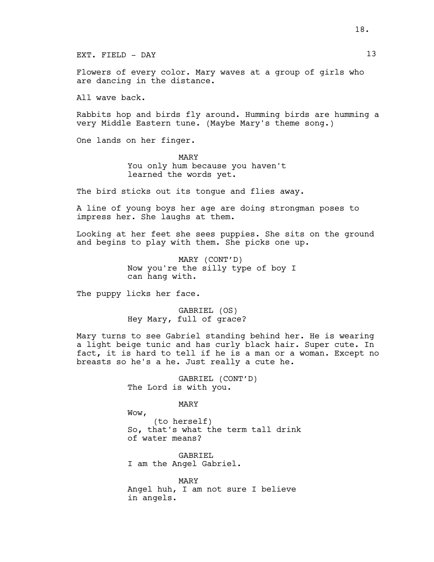EXT. FIELD - DAY 13

Flowers of every color. Mary waves at a group of girls who are dancing in the distance.

All wave back.

Rabbits hop and birds fly around. Humming birds are humming a very Middle Eastern tune. (Maybe Mary's theme song.)

One lands on her finger.

MARY You only hum because you haven't learned the words yet.

The bird sticks out its tongue and flies away.

A line of young boys her age are doing strongman poses to impress her. She laughs at them.

Looking at her feet she sees puppies. She sits on the ground and begins to play with them. She picks one up.

> MARY (CONT'D) Now you're the silly type of boy I can hang with.

The puppy licks her face.

GABRIEL (OS) Hey Mary, full of grace?

Mary turns to see Gabriel standing behind her. He is wearing a light beige tunic and has curly black hair. Super cute. In fact, it is hard to tell if he is a man or a woman. Except no breasts so he's a he. Just really a cute he.

> GABRIEL (CONT'D) The Lord is with you.

> > MARY

Wow, (to herself) So, that's what the term tall drink of water means?

GABRIEL I am the Angel Gabriel.

MARY Angel huh, I am not sure I believe in angels.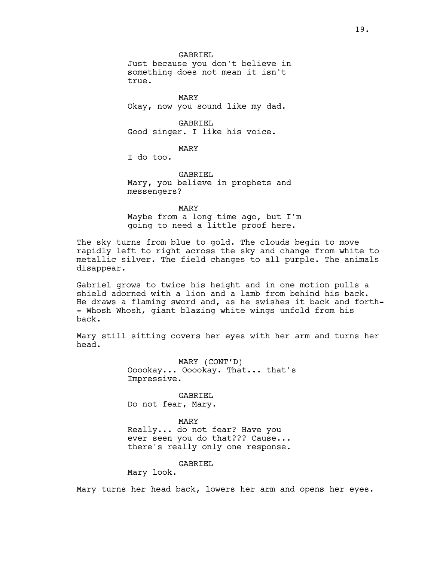GABRIEL Just because you don't believe in something does not mean it isn't true.

MARY Okay, now you sound like my dad.

GABRIEL Good singer. I like his voice.

MARY

I do too.

GABRIEL Mary, you believe in prophets and messengers?

MARY

Maybe from a long time ago, but I'm going to need a little proof here.

The sky turns from blue to gold. The clouds begin to move rapidly left to right across the sky and change from white to metallic silver. The field changes to all purple. The animals disappear.

Gabriel grows to twice his height and in one motion pulls a shield adorned with a lion and a lamb from behind his back. He draws a flaming sword and, as he swishes it back and forth- - Whosh Whosh, giant blazing white wings unfold from his back.

Mary still sitting covers her eyes with her arm and turns her head.

> MARY (CONT'D) Ooookay... Ooookay. That... that's Impressive.

GABRIEL Do not fear, Mary.

MARY Really... do not fear? Have you ever seen you do that??? Cause...

there's really only one response.

GABRIEL.

Mary look.

Mary turns her head back, lowers her arm and opens her eyes.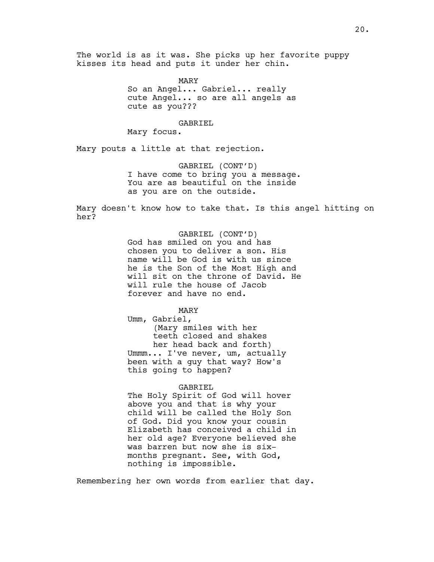The world is as it was. She picks up her favorite puppy kisses its head and puts it under her chin.

> MARY So an Angel... Gabriel... really cute Angel... so are all angels as cute as you???

> > GABRIEL

Mary focus.

Mary pouts a little at that rejection.

GABRIEL (CONT'D) I have come to bring you a message. You are as beautiful on the inside as you are on the outside.

Mary doesn't know how to take that. Is this angel hitting on her?

> GABRIEL (CONT'D) God has smiled on you and has chosen you to deliver a son. His name will be God is with us since he is the Son of the Most High and will sit on the throne of David. He will rule the house of Jacob forever and have no end.

MARY Umm, Gabriel, (Mary smiles with her teeth closed and shakes her head back and forth) Ummm... I've never, um, actually been with a guy that way? How's this going to happen?

### GABRIEL

The Holy Spirit of God will hover above you and that is why your child will be called the Holy Son of God. Did you know your cousin Elizabeth has conceived a child in her old age? Everyone believed she was barren but now she is sixmonths pregnant. See, with God, nothing is impossible.

Remembering her own words from earlier that day.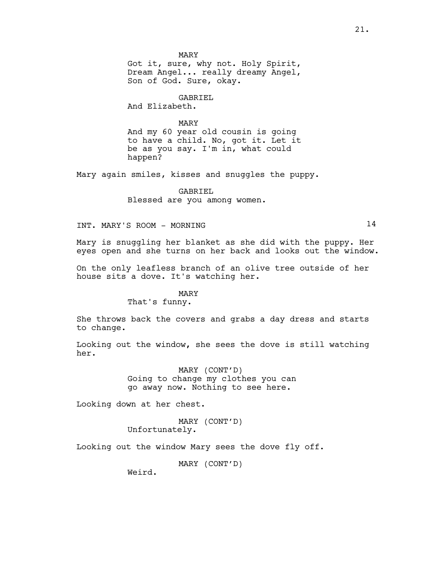MARY Got it, sure, why not. Holy Spirit,

Dream Angel... really dreamy Angel, Son of God. Sure, okay.

GABRIEL

And Elizabeth.

MARY And my 60 year old cousin is going to have a child. No, got it. Let it be as you say. I'm in, what could happen?

Mary again smiles, kisses and snuggles the puppy.

GABRIEL Blessed are you among women.

INT. MARY'S ROOM - MORNING 14

Mary is snuggling her blanket as she did with the puppy. Her eyes open and she turns on her back and looks out the window.

On the only leafless branch of an olive tree outside of her house sits a dove. It's watching her.

# MARY

That's funny.

She throws back the covers and grabs a day dress and starts to change.

Looking out the window, she sees the dove is still watching her.

> MARY (CONT'D) Going to change my clothes you can go away now. Nothing to see here.

Looking down at her chest.

MARY (CONT'D) Unfortunately.

Looking out the window Mary sees the dove fly off.

MARY (CONT'D)

Weird.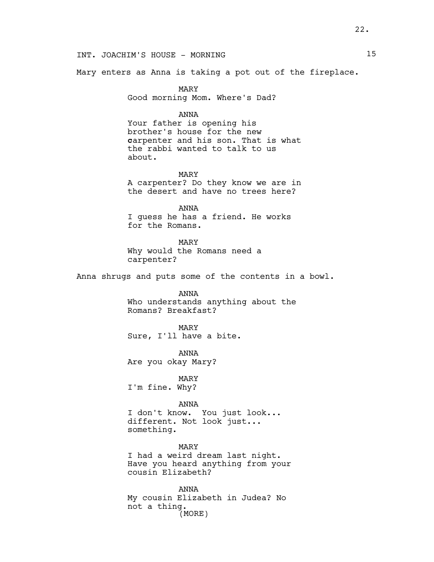Mary enters as Anna is taking a pot out of the fireplace.

MARY Good morning Mom. Where's Dad?

## ANNA

Your father is opening his brother's house for the new carpenter and his son. That is what the rabbi wanted to talk to us about.

MARY A carpenter? Do they know we are in the desert and have no trees here?

ANNA I guess he has a friend. He works for the Romans.

MARY Why would the Romans need a carpenter?

Anna shrugs and puts some of the contents in a bowl.

ANNA Who understands anything about the Romans? Breakfast?

MARY Sure, I'll have a bite.

ANNA Are you okay Mary?

MARY I'm fine. Why?

### ANNA

I don't know. You just look... different. Not look just... something.

MARY I had a weird dream last night. Have you heard anything from your cousin Elizabeth?

ANNA My cousin Elizabeth in Judea? No not a thing. (MORE)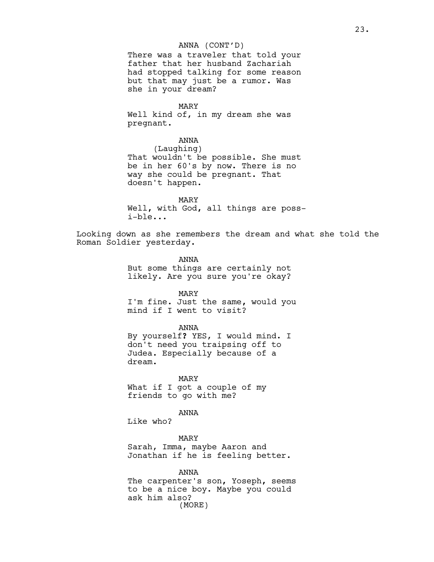## ANNA (CONT'D)

There was a traveler that told your father that her husband Zachariah had stopped talking for some reason but that may just be a rumor. Was she in your dream?

MARY

Well kind of, in my dream she was pregnant.

ANNA (Laughing) That wouldn't be possible. She must be in her 60's by now. There is no way she could be pregnant. That doesn't happen.

MARY Well, with God, all things are possi-ble...

Looking down as she remembers the dream and what she told the Roman Soldier yesterday.

> ANNA But some things are certainly not likely. Are you sure you're okay?

> > MARY

I'm fine. Just the same, would you mind if I went to visit?

ANNA

By yourself? YES, I would mind. I don't need you traipsing off to Judea. Especially because of a dream.

MARY What if I got a couple of my friends to go with me?

ANNA

Like who?

MARY Sarah, Imma, maybe Aaron and Jonathan if he is feeling better.

ANNA The carpenter's son, Yoseph, seems to be a nice boy. Maybe you could ask him also? (MORE)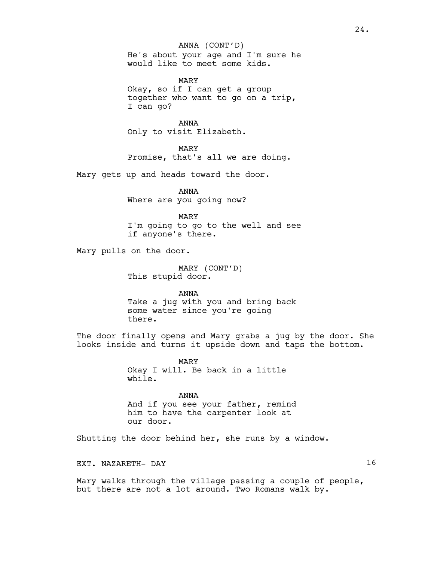# He's about your age and I'm sure he would like to meet some kids. ANNA (CONT'D)

MARY Okay, so if I can get a group together who want to go on a trip, I can go?

ANNA Only to visit Elizabeth.

MARY Promise, that's all we are doing.

Mary gets up and heads toward the door.

ANNA Where are you going now?

MARY I'm going to go to the well and see if anyone's there.

Mary pulls on the door.

MARY (CONT'D) This stupid door.

ANNA Take a jug with you and bring back some water since you're going there.

The door finally opens and Mary grabs a jug by the door. She looks inside and turns it upside down and taps the bottom.

> MARY Okay I will. Be back in a little while.

ANNA And if you see your father, remind him to have the carpenter look at our door.

Shutting the door behind her, she runs by a window.

EXT. NAZARETH- DAY 16

Mary walks through the village passing a couple of people, but there are not a lot around. Two Romans walk by.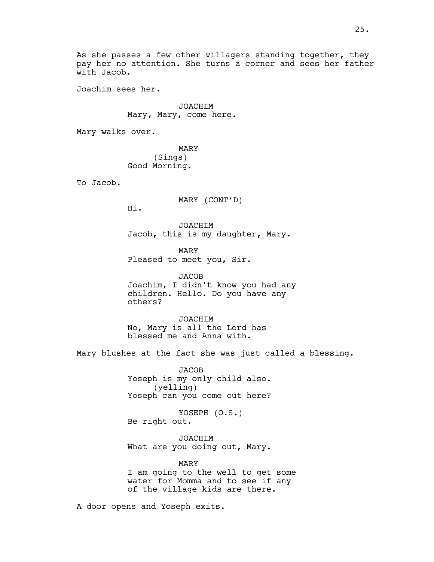As she passes a few other villagers standing together, they pay her no attention. She turns a corner and sees her father with Jacob.

Joachim sees her.

JOACHIM Mary, Mary, come here.

Mary walks over.

MARY (Sings) Good Morning.

To Jacob.

MARY (CONT'D)

Hi.

JOACHIM Jacob, this is my daughter, Mary.

MARY Pleased to meet you, Sir.

JACOB Joachim, I didn't know you had any children. Hello. Do you have any others?

JOACHIM No, Mary is all the Lord has blessed me and Anna with.

Mary blushes at the fact she was just called a blessing.

JACOB Yoseph is my only child also. (yelling) Yoseph can you come out here?

YOSEPH (O.S.) Be right out.

JOACHIM What are you doing out, Mary.

MARY I am going to the well to get some water for Momma and to see if any of the village kids are there.

A door opens and Yoseph exits.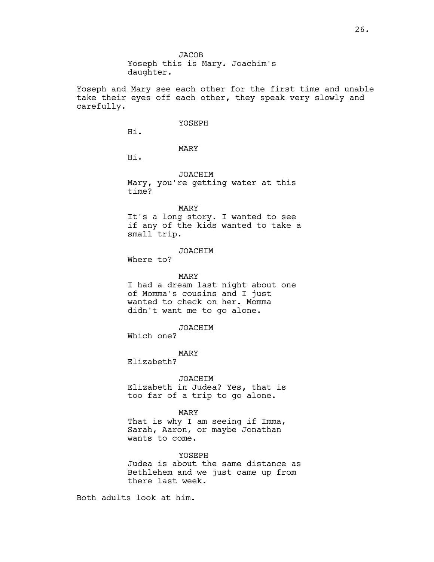**JACOB** Yoseph this is Mary. Joachim's daughter.

Yoseph and Mary see each other for the first time and unable take their eyes off each other, they speak very slowly and carefully.

### YOSEPH

Hi.

MARY

Hi.

JOACHIM Mary, you're getting water at this time?

MARY

It's a long story. I wanted to see if any of the kids wanted to take a small trip.

## JOACHIM

Where to?

MARY

I had a dream last night about one of Momma's cousins and I just wanted to check on her. Momma didn't want me to go alone.

JOACHIM

Which one?

MARY

Elizabeth?

### JOACHIM

Elizabeth in Judea? Yes, that is too far of a trip to go alone.

MARY

That is why I am seeing if Imma, Sarah, Aaron, or maybe Jonathan wants to come.

### YOSEPH

Judea is about the same distance as Bethlehem and we just came up from there last week.

Both adults look at him.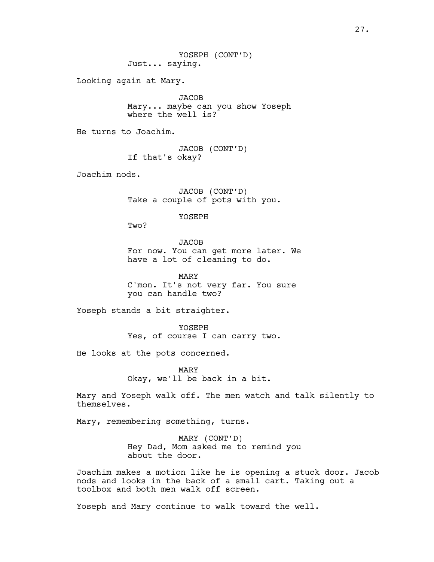Looking again at Mary.

**JACOB** Mary... maybe can you show Yoseph where the well is?

He turns to Joachim.

JACOB (CONT'D) If that's okay?

Joachim nods.

JACOB (CONT'D) Take a couple of pots with you.

YOSEPH

Two?

**JACOB** For now. You can get more later. We have a lot of cleaning to do.

MARY C'mon. It's not very far. You sure you can handle two?

Yoseph stands a bit straighter.

YOSEPH Yes, of course I can carry two.

He looks at the pots concerned.

MARY Okay, we'll be back in a bit.

Mary and Yoseph walk off. The men watch and talk silently to themselves.

Mary, remembering something, turns.

MARY (CONT'D) Hey Dad, Mom asked me to remind you about the door.

Joachim makes a motion like he is opening a stuck door. Jacob nods and looks in the back of a small cart. Taking out a toolbox and both men walk off screen.

Yoseph and Mary continue to walk toward the well.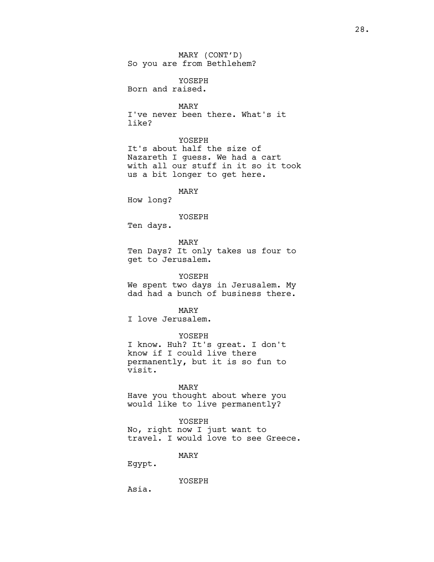MARY (CONT'D) So you are from Bethlehem?

YOSEPH Born and raised.

MARY I've never been there. What's it like?

## YOSEPH

It's about half the size of Nazareth I guess. We had a cart with all our stuff in it so it took us a bit longer to get here.

MARY

How long?

### YOSEPH

Ten days.

MARY

Ten Days? It only takes us four to get to Jerusalem.

YOSEPH

We spent two days in Jerusalem. My dad had a bunch of business there.

MARY

I love Jerusalem.

YOSEPH

I know. Huh? It's great. I don't know if I could live there permanently, but it is so fun to visit.

## MARY

Have you thought about where you would like to live permanently?

### YOSEPH

No, right now I just want to travel. I would love to see Greece.

### MARY

Egypt.

YOSEPH

Asia.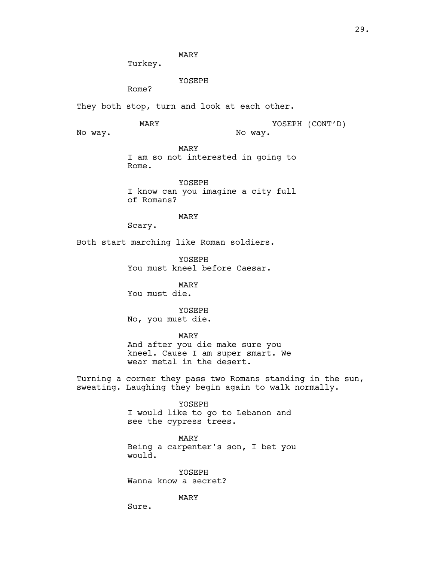MARY

Turkey.

YOSEPH

Rome?

They both stop, turn and look at each other.

MARY

YOSEPH (CONT'D)

No way.

MARY I am so not interested in going to Rome.

No way.

YOSEPH I know can you imagine a city full of Romans?

MARY

Scary.

Both start marching like Roman soldiers.

YOSEPH You must kneel before Caesar.

MARY You must die.

YOSEPH

No, you must die.

MARY

And after you die make sure you kneel. Cause I am super smart. We wear metal in the desert.

Turning a corner they pass two Romans standing in the sun, sweating. Laughing they begin again to walk normally.

> YOSEPH I would like to go to Lebanon and see the cypress trees.

MARY Being a carpenter's son, I bet you would.

YOSEPH Wanna know a secret?

MARY

Sure.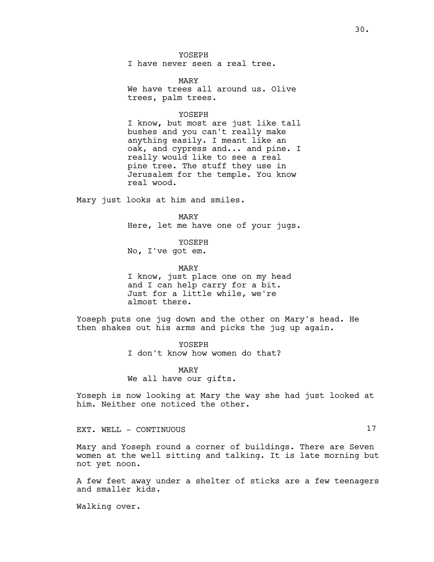YOSEPH I have never seen a real tree.

MARY We have trees all around us. Olive trees, palm trees.

### YOSEPH

I know, but most are just like tall bushes and you can't really make anything easily. I meant like an oak, and cypress and... and pine. I really would like to see a real pine tree. The stuff they use in Jerusalem for the temple. You know real wood.

Mary just looks at him and smiles.

MARY Here, let me have one of your jugs.

YOSEPH No, I've got em.

MARY I know, just place one on my head and I can help carry for a bit. Just for a little while, we're almost there.

Yoseph puts one jug down and the other on Mary's head. He then shakes out his arms and picks the jug up again.

> YOSEPH I don't know how women do that?

MARY We all have our gifts.

Yoseph is now looking at Mary the way she had just looked at him. Neither one noticed the other.

EXT. WELL - CONTINUOUS 17

Mary and Yoseph round a corner of buildings. There are Seven women at the well sitting and talking. It is late morning but not yet noon.

A few feet away under a shelter of sticks are a few teenagers and smaller kids.

Walking over.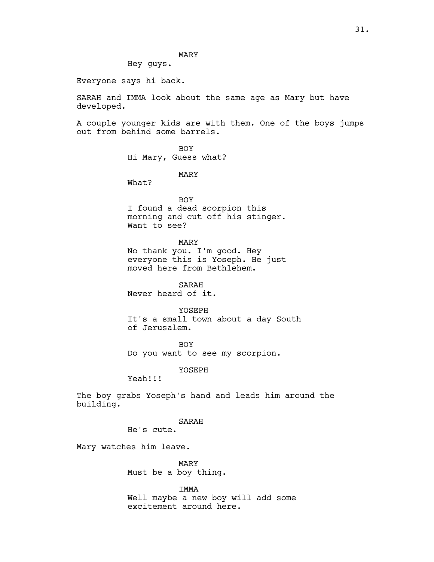MARY

Hey guys.

Everyone says hi back.

SARAH and IMMA look about the same age as Mary but have developed.

A couple younger kids are with them. One of the boys jumps out from behind some barrels.

> BOY Hi Mary, Guess what?

> > MARY

What?

BOY I found a dead scorpion this morning and cut off his stinger. Want to see?

MARY

No thank you. I'm good. Hey everyone this is Yoseph. He just moved here from Bethlehem.

SARAH Never heard of it.

YOSEPH It's a small town about a day South of Jerusalem.

BOY Do you want to see my scorpion.

YOSEPH

Yeah!!!

The boy grabs Yoseph's hand and leads him around the building.

SARAH

He's cute.

Mary watches him leave.

MARY Must be a boy thing.

IMMA

Well maybe a new boy will add some excitement around here.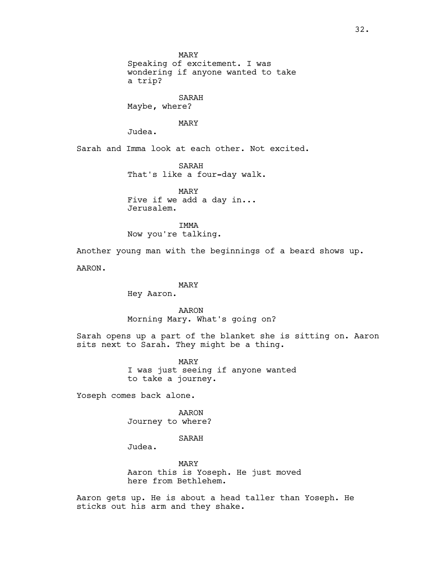MARY Speaking of excitement. I was wondering if anyone wanted to take a trip?

SARAH Maybe, where?

MARY

Judea.

Sarah and Imma look at each other. Not excited.

SARAH That's like a four-day walk.

MARY Five if we add a day in... Jerusalem.

IMMA Now you're talking.

Another young man with the beginnings of a beard shows up.

AARON.

# MARY

Hey Aaron.

# AARON Morning Mary. What's going on?

Sarah opens up a part of the blanket she is sitting on. Aaron sits next to Sarah. They might be a thing.

> MARY I was just seeing if anyone wanted to take a journey.

Yoseph comes back alone.

AARON Journey to where?

# SARAH

Judea.

MARY Aaron this is Yoseph. He just moved here from Bethlehem.

Aaron gets up. He is about a head taller than Yoseph. He sticks out his arm and they shake.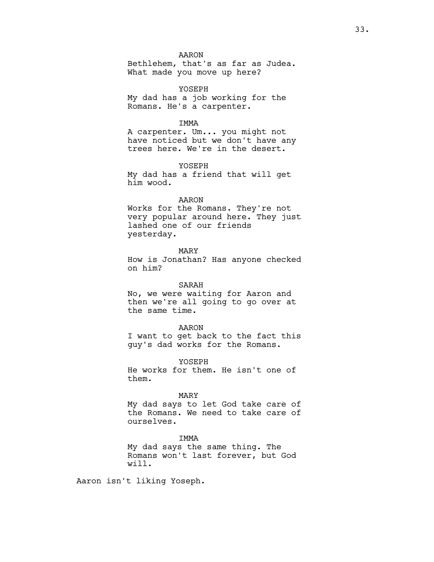AARON

Bethlehem, that's as far as Judea. What made you move up here?

YOSEPH My dad has a job working for the Romans. He's a carpenter.

IMMA

A carpenter. Um... you might not have noticed but we don't have any trees here. We're in the desert.

YOSEPH My dad has a friend that will get him wood.

# AARON

Works for the Romans. They're not very popular around here. They just lashed one of our friends yesterday.

MARY

How is Jonathan? Has anyone checked on him?

## SARAH

No, we were waiting for Aaron and then we're all going to go over at the same time.

#### AARON

I want to get back to the fact this guy's dad works for the Romans.

YOSEPH

He works for them. He isn't one of them.

#### MARY

My dad says to let God take care of the Romans. We need to take care of ourselves.

IMMA My dad says the same thing. The Romans won't last forever, but God will.

Aaron isn't liking Yoseph.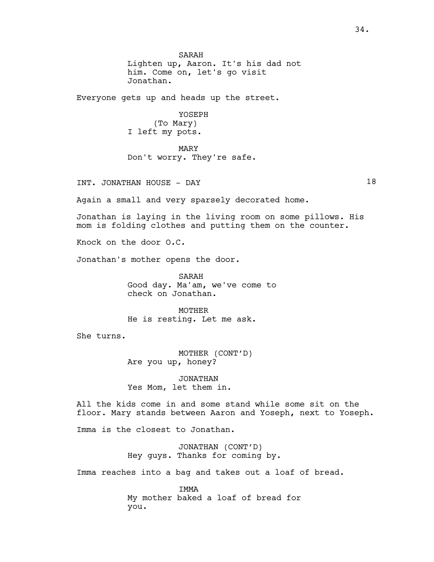SARAH Lighten up, Aaron. It's his dad not him. Come on, let's go visit Jonathan.

Everyone gets up and heads up the street.

YOSEPH

(To Mary) I left my pots.

MARY Don't worry. They're safe.

INT. JONATHAN HOUSE - DAY 18

Again a small and very sparsely decorated home.

Jonathan is laying in the living room on some pillows. His mom is folding clothes and putting them on the counter.

Knock on the door O.C.

Jonathan's mother opens the door.

SARAH Good day. Ma'am, we've come to check on Jonathan.

MOTHER He is resting. Let me ask.

She turns.

MOTHER (CONT'D) Are you up, honey?

JONATHAN Yes Mom, let them in.

All the kids come in and some stand while some sit on the floor. Mary stands between Aaron and Yoseph, next to Yoseph.

Imma is the closest to Jonathan.

JONATHAN (CONT'D) Hey guys. Thanks for coming by.

Imma reaches into a bag and takes out a loaf of bread.

IMMA My mother baked a loaf of bread for you.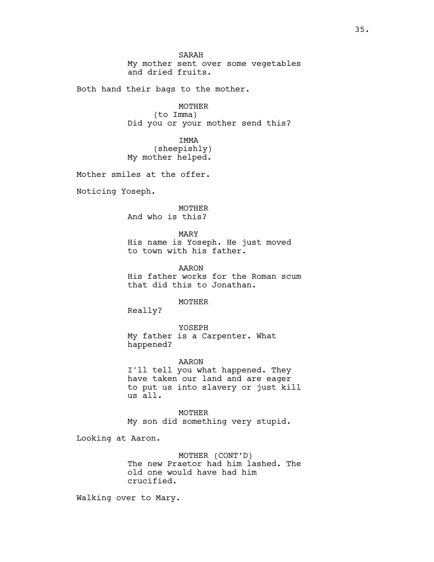SARAH My mother sent over some vegetables and dried fruits.

Both hand their bags to the mother.

MOTHER (to Imma) Did you or your mother send this?

IMMA (sheepishly) My mother helped.

Mother smiles at the offer.

Noticing Yoseph.

MOTHER And who is this?

MARY His name is Yoseph. He just moved to town with his father.

AARON His father works for the Roman scum that did this to Jonathan.

MOTHER

Really?

YOSEPH My father is a Carpenter. What happened?

AARON

I'll tell you what happened. They have taken our land and are eager to put us into slavery or just kill us all.

MOTHER My son did something very stupid.

Looking at Aaron.

MOTHER (CONT'D) The new Praetor had him lashed. The old one would have had him crucified.

Walking over to Mary.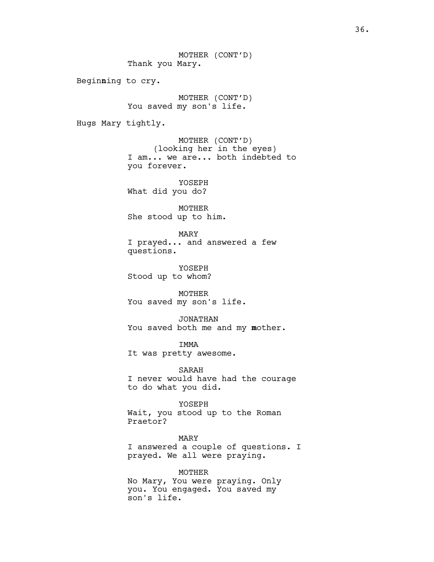MOTHER (CONT'D) Thank you Mary.

Beginning to cry.

MOTHER (CONT'D) You saved my son's life.

Hugs Mary tightly.

MOTHER (CONT'D) (looking her in the eyes) I am... we are... both indebted to you forever.

YOSEPH What did you do?

MOTHER She stood up to him.

MARY I prayed... and answered a few questions.

YOSEPH Stood up to whom?

MOTHER You saved my son's life.

JONATHAN You saved both me and my mother.

IMMA It was pretty awesome.

SARAH I never would have had the courage to do what you did.

YOSEPH

Wait, you stood up to the Roman Praetor?

MARY I answered a couple of questions. I prayed. We all were praying.

MOTHER No Mary, You were praying. Only you. You engaged. You saved my son's life.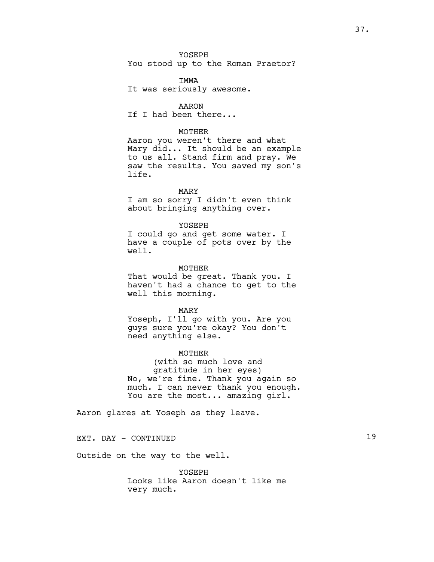YOSEPH You stood up to the Roman Praetor?

IMMA It was seriously awesome.

AARON If I had been there...

# MOTHER

Aaron you weren't there and what Mary did... It should be an example to us all. Stand firm and pray. We saw the results. You saved my son's life.

## MARY

I am so sorry I didn't even think about bringing anything over.

# YOSEPH

I could go and get some water. I have a couple of pots over by the well.

### MOTHER

That would be great. Thank you. I haven't had a chance to get to the well this morning.

#### MARY

Yoseph, I'll go with you. Are you guys sure you're okay? You don't need anything else.

### MOTHER

(with so much love and gratitude in her eyes) No, we're fine. Thank you again so much. I can never thank you enough. You are the most... amazing girl.

Aaron glares at Yoseph as they leave.

EXT. DAY - CONTINUED 19

Outside on the way to the well.

YOSEPH Looks like Aaron doesn't like me very much.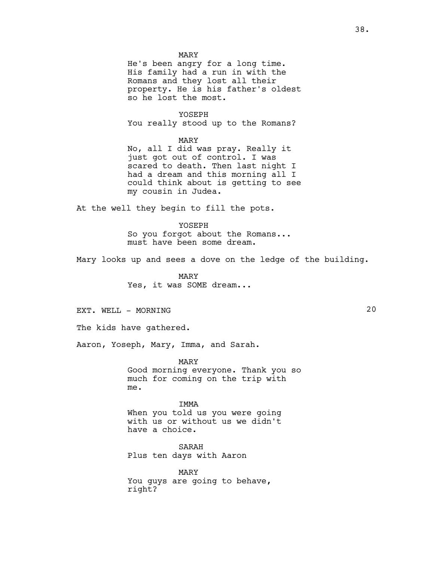MARY

He's been angry for a long time. His family had a run in with the Romans and they lost all their property. He is his father's oldest so he lost the most.

YOSEPH You really stood up to the Romans?

MARY

No, all I did was pray. Really it just got out of control. I was scared to death. Then last night I had a dream and this morning all I could think about is getting to see my cousin in Judea.

At the well they begin to fill the pots.

YOSEPH So you forgot about the Romans... must have been some dream.

Mary looks up and sees a dove on the ledge of the building.

MARY Yes, it was SOME dream...

EXT. WELL - MORNING 20

The kids have gathered.

Aaron, Yoseph, Mary, Imma, and Sarah.

MARY Good morning everyone. Thank you so much for coming on the trip with me.

IMMA When you told us you were going with us or without us we didn't have a choice.

SARAH Plus ten days with Aaron

MARY You guys are going to behave, right?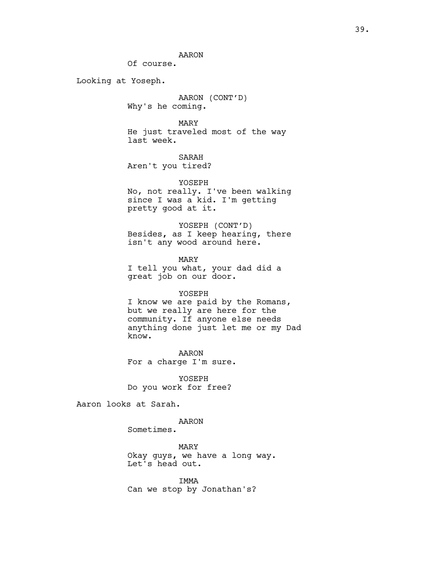AARON

Of course.

Looking at Yoseph.

AARON (CONT'D) Why's he coming.

MARY He just traveled most of the way last week.

SARAH Aren't you tired?

YOSEPH No, not really. I've been walking since I was a kid. I'm getting pretty good at it.

YOSEPH (CONT'D) Besides, as I keep hearing, there isn't any wood around here.

MARY I tell you what, your dad did a great job on our door.

### YOSEPH

I know we are paid by the Romans, but we really are here for the community. If anyone else needs anything done just let me or my Dad know.

AARON For a charge I'm sure.

YOSEPH Do you work for free?

Aaron looks at Sarah.

# AARON

Sometimes.

MARY Okay guys, we have a long way. Let's head out.

IMMA Can we stop by Jonathan's?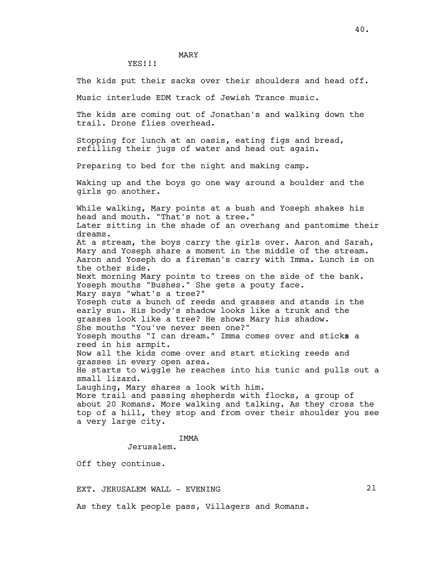# MARY

YES!!!

The kids put their sacks over their shoulders and head off.

Music interlude EDM track of Jewish Trance music.

The kids are coming out of Jonathan's and walking down the trail. Drone flies overhead.

Stopping for lunch at an oasis, eating figs and bread, refilling their jugs of water and head out again.

Preparing to bed for the night and making camp.

Waking up and the boys go one way around a boulder and the girls go another.

While walking, Mary points at a bush and Yoseph shakes his head and mouth. "That's not a tree." Later sitting in the shade of an overhang and pantomime their dreams. At a stream, the boys carry the girls over. Aaron and Sarah, Mary and Yoseph share a moment in the middle of the stream. Aaron and Yoseph do a fireman's carry with Imma. Lunch is on the other side. Next morning Mary points to trees on the side of the bank. Yoseph mouths "Bushes." She gets a pouty face. Mary says "what's a tree?" Yoseph cuts a bunch of reeds and grasses and stands in the early sun. His body's shadow looks like a trunk and the grasses look like a tree? He shows Mary his shadow. She mouths "You've never seen one?" Yoseph mouths "I can dream." Imma comes over and sticks a reed in his armpit. Now all the kids come over and start sticking reeds and grasses in every open area. He starts to wiggle he reaches into his tunic and pulls out a small lizard. Laughing, Mary shares a look with him. More trail and passing shepherds with flocks, a group of about 20 Romans. More walking and talking. As they cross the top of a hill, they stop and from over their shoulder you see a very large city.

# IMMA

Jerusalem.

Off they continue.

EXT. JERUSALEM WALL - EVENING 21

As they talk people pass, Villagers and Romans.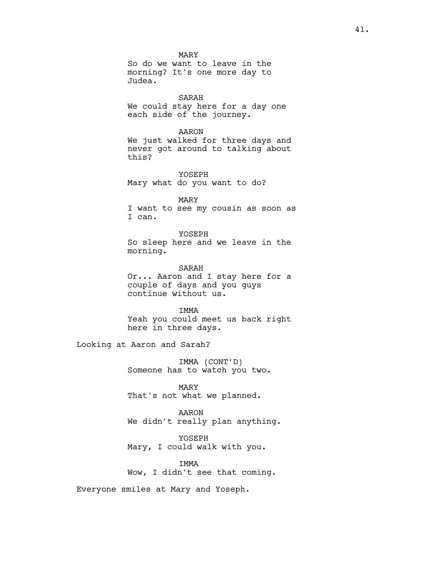MARY So do we want to leave in the morning? It's one more day to Judea.

# SARAH

We could stay here for a day one each side of the journey.

AARON

We just walked for three days and never got around to talking about this?

YOSEPH Mary what do you want to do?

MARY I want to see my cousin as soon as I can.

YOSEPH So sleep here and we leave in the morning.

SARAH Or... Aaron and I stay here for a couple of days and you guys continue without us.

IMMA Yeah you could meet us back right here in three days.

Looking at Aaron and Sarah?

IMMA (CONT'D) Someone has to watch you two.

MARY That's not what we planned.

AARON We didn't really plan anything.

YOSEPH Mary, I could walk with you.

**TMMA** Wow, I didn't see that coming.

Everyone smiles at Mary and Yoseph.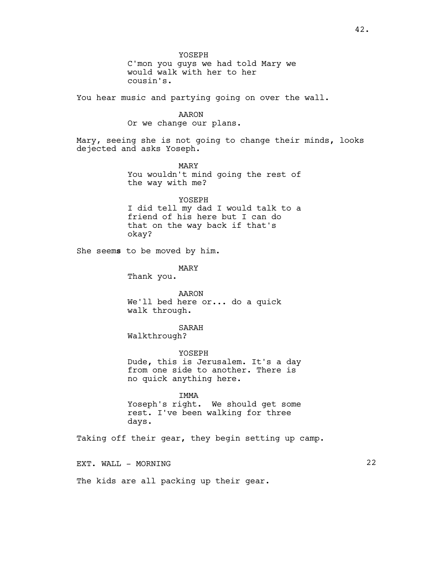YOSEPH C'mon you guys we had told Mary we would walk with her to her cousin's. You hear music and partying going on over the wall. AARON Or we change our plans. Mary, seeing she is not going to change their minds, looks dejected and asks Yoseph. MARY You wouldn't mind going the rest of the way with me? YOSEPH I did tell my dad I would talk to a friend of his here but I can do that on the way back if that's okay? She seems to be moved by him. MARY Thank you. AARON We'll bed here or... do a quick

walk through.

SARAH Walkthrough?

YOSEPH Dude, this is Jerusalem. It's a day from one side to another. There is no quick anything here.

IMMA Yoseph's right. We should get some rest. I've been walking for three days.

Taking off their gear, they begin setting up camp.

EXT. WALL - MORNING 22

The kids are all packing up their gear.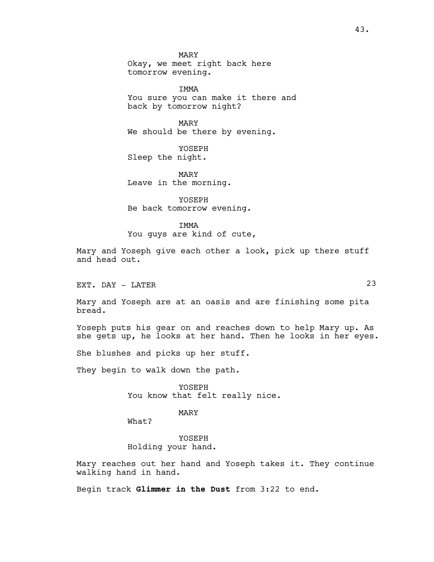MARY Okay, we meet right back here tomorrow evening.

IMMA You sure you can make it there and back by tomorrow night?

MARY We should be there by evening.

YOSEPH Sleep the night.

MARY Leave in the morning.

YOSEPH Be back tomorrow evening.

TMMA

You guys are kind of cute,

Mary and Yoseph give each other a look, pick up there stuff and head out.

EXT. DAY - LATER 23

Mary and Yoseph are at an oasis and are finishing some pita bread.

Yoseph puts his gear on and reaches down to help Mary up. As she gets up, he looks at her hand. Then he looks in her eyes.

She blushes and picks up her stuff.

They begin to walk down the path.

YOSEPH You know that felt really nice.

MARY

What?

YOSEPH Holding your hand.

Mary reaches out her hand and Yoseph takes it. They continue walking hand in hand.

Begin track Glimmer in the Dust from 3:22 to end.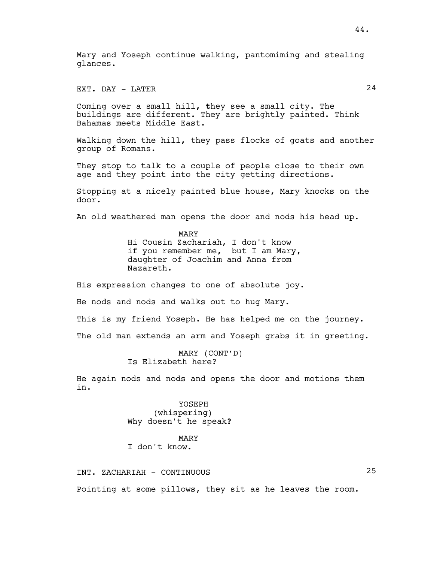Mary and Yoseph continue walking, pantomiming and stealing glances.

EXT. DAY - LATER 24

Coming over a small hill, they see a small city. The buildings are different. They are brightly painted. Think Bahamas meets Middle East.

Walking down the hill, they pass flocks of goats and another group of Romans.

They stop to talk to a couple of people close to their own age and they point into the city getting directions.

Stopping at a nicely painted blue house, Mary knocks on the door.

An old weathered man opens the door and nods his head up.

MARY Hi Cousin Zachariah, I don't know if you remember me, but I am Mary, daughter of Joachim and Anna from Nazareth.

His expression changes to one of absolute joy.

He nods and nods and walks out to hug Mary.

This is my friend Yoseph. He has helped me on the journey.

The old man extends an arm and Yoseph grabs it in greeting.

MARY (CONT'D) Is Elizabeth here?

He again nods and nods and opens the door and motions them in.

> YOSEPH (whispering) Why doesn't he speak?

MARY I don't know.

INT. ZACHARIAH - CONTINUOUS 25

Pointing at some pillows, they sit as he leaves the room.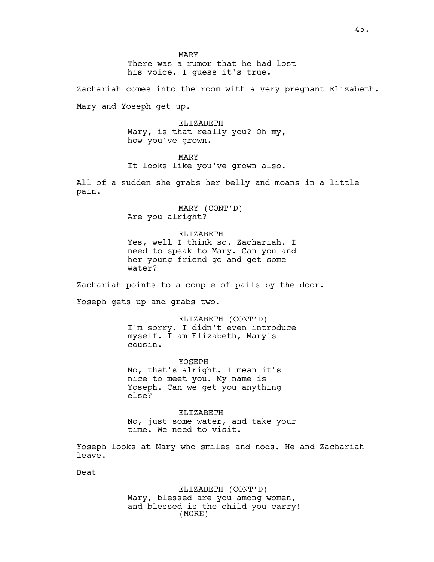MARY There was a rumor that he had lost his voice. I guess it's true.

Zachariah comes into the room with a very pregnant Elizabeth.

Mary and Yoseph get up.

ELIZABETH Mary, is that really you? Oh my, how you've grown.

MARY It looks like you've grown also.

All of a sudden she grabs her belly and moans in a little pain.

> MARY (CONT'D) Are you alright?

ELIZABETH Yes, well I think so. Zachariah. I need to speak to Mary. Can you and her young friend go and get some water?

Zachariah points to a couple of pails by the door.

Yoseph gets up and grabs two.

ELIZABETH (CONT'D) I'm sorry. I didn't even introduce myself. I am Elizabeth, Mary's cousin.

YOSEPH No, that's alright. I mean it's nice to meet you. My name is Yoseph. Can we get you anything else?

ELIZABETH No, just some water, and take your time. We need to visit.

Yoseph looks at Mary who smiles and nods. He and Zachariah leave.

Beat

ELIZABETH (CONT'D) Mary, blessed are you among women, and blessed is the child you carry! (MORE)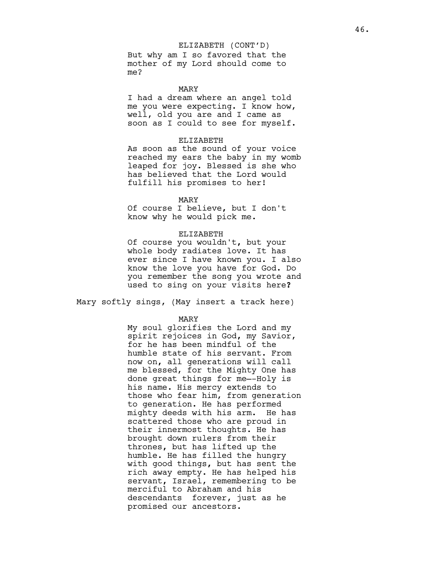### ELIZABETH (CONT'D)

But why am I so favored that the mother of my Lord should come to me?

MARY

I had a dream where an angel told me you were expecting. I know how, well, old you are and I came as soon as I could to see for myself.

### ELIZABETH

As soon as the sound of your voice reached my ears the baby in my womb leaped for joy. Blessed is she who has believed that the Lord would fulfill his promises to her!

## MARY

Of course I believe, but I don't know why he would pick me.

#### ELIZABETH

Of course you wouldn't, but your whole body radiates love. It has ever since I have known you. I also know the love you have for God. Do you remember the song you wrote and used to sing on your visits here?

Mary softly sings, (May insert a track here)

MARY

My soul glorifies the Lord and my spirit rejoices in God, my Savior, for he has been mindful of the humble state of his servant. From now on, all generations will call me blessed, for the Mighty One has done great things for me—-Holy is his name. His mercy extends to those who fear him, from generation to generation. He has performed mighty deeds with his arm. He has scattered those who are proud in their innermost thoughts. He has brought down rulers from their thrones, but has lifted up the humble. He has filled the hungry with good things, but has sent the rich away empty. He has helped his servant, Israel, remembering to be merciful to Abraham and his descendants forever, just as he promised our ancestors.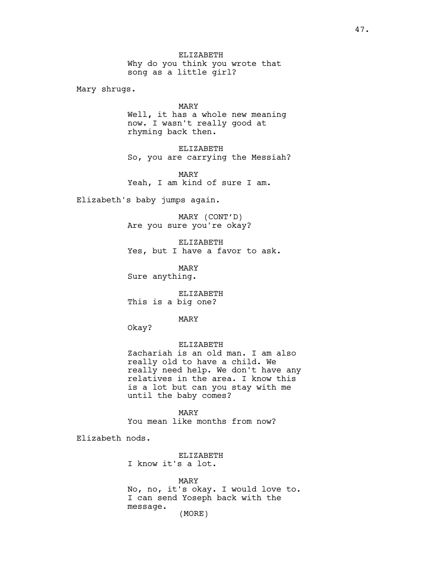ELIZABETH Why do you think you wrote that song as a little girl?

Mary shrugs.

MARY Well, it has a whole new meaning now. I wasn't really good at rhyming back then.

ELIZABETH So, you are carrying the Messiah?

MARY Yeah, I am kind of sure I am.

Elizabeth's baby jumps again.

MARY (CONT'D) Are you sure you're okay?

ELIZABETH Yes, but I have a favor to ask.

MARY Sure anything.

ELIZABETH This is a big one?

MARY

Okay?

ELIZABETH

Zachariah is an old man. I am also really old to have a child. We really need help. We don't have any relatives in the area. I know this is a lot but can you stay with me until the baby comes?

MARY You mean like months from now?

Elizabeth nods.

ELIZABETH I know it's a lot.

MARY No, no, it's okay. I would love to. I can send Yoseph back with the message. (MORE)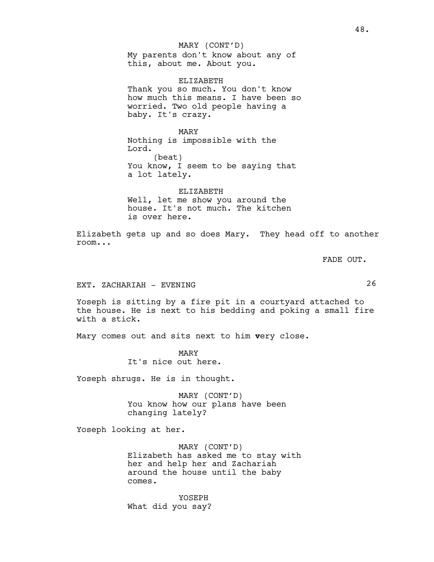My parents don't know about any of this, about me. About you. MARY (CONT'D)

ELIZABETH Thank you so much. You don't know how much this means. I have been so worried. Two old people having a baby. It's crazy.

MARY Nothing is impossible with the Lord. (beat) You know, I seem to be saying that a lot lately.

ELIZABETH Well, let me show you around the house. It's not much. The kitchen is over here.

Elizabeth gets up and so does Mary. They head off to another room...

FADE OUT.

# EXT. ZACHARIAH - EVENING 26

Yoseph is sitting by a fire pit in a courtyard attached to the house. He is next to his bedding and poking a small fire with a stick.

Mary comes out and sits next to him very close.

MARY It's nice out here.

Yoseph shrugs. He is in thought.

MARY (CONT'D) You know how our plans have been changing lately?

Yoseph looking at her.

MARY (CONT'D) Elizabeth has asked me to stay with her and help her and Zachariah around the house until the baby comes.

YOSEPH What did you say?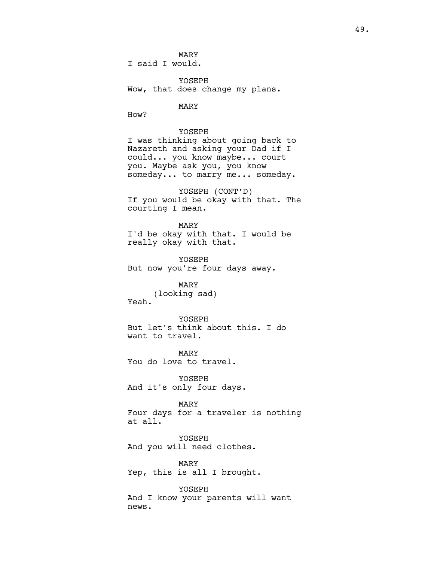MARY I said I would.

YOSEPH Wow, that does change my plans.

MARY

How?

YOSEPH I was thinking about going back to Nazareth and asking your Dad if I could... you know maybe... court you. Maybe ask you, you know someday... to marry me... someday.

YOSEPH (CONT'D) If you would be okay with that. The courting I mean.

MARY I'd be okay with that. I would be really okay with that.

YOSEPH But now you're four days away.

MARY (looking sad) Yeah.

YOSEPH But let's think about this. I do want to travel.

MARY You do love to travel.

YOSEPH And it's only four days.

#### MARY

Four days for a traveler is nothing at all.

YOSEPH And you will need clothes.

MARY Yep, this is all I brought.

YOSEPH And I know your parents will want news.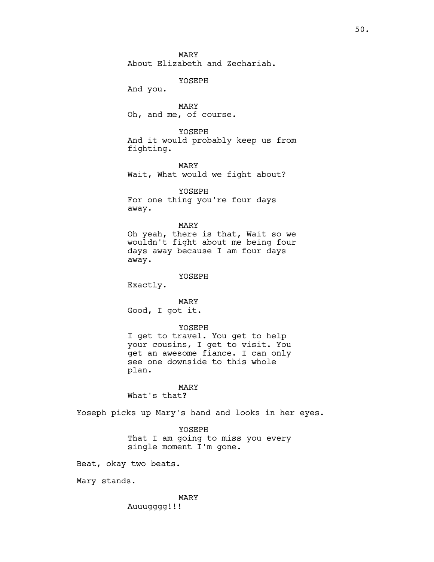MARY About Elizabeth and Zechariah.

YOSEPH

And you.

MARY Oh, and me, of course.

YOSEPH And it would probably keep us from fighting.

MARY Wait, What would we fight about?

YOSEPH For one thing you're four days away.

MARY Oh yeah, there is that, Wait so we wouldn't fight about me being four days away because I am four days away.

YOSEPH

Exactly.

MARY Good, I got it.

### YOSEPH

I get to travel. You get to help your cousins, I get to visit. You get an awesome fiance. I can only see one downside to this whole plan.

# MARY

What's that?

Yoseph picks up Mary's hand and looks in her eyes.

YOSEPH That I am going to miss you every single moment I'm gone.

Beat, okay two beats.

Mary stands.

MARY Auuugggg!!!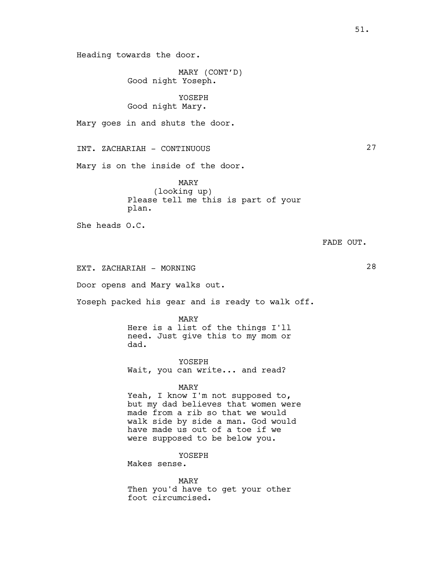Heading towards the door.

MARY (CONT'D) Good night Yoseph.

YOSEPH Good night Mary.

Mary goes in and shuts the door.

INT. ZACHARIAH - CONTINUOUS 27

Mary is on the inside of the door.

MARY (looking up) Please tell me this is part of your plan.

She heads O.C.

FADE OUT.

EXT. ZACHARIAH - MORNING 28

Door opens and Mary walks out.

Yoseph packed his gear and is ready to walk off.

MARY Here is a list of the things I'll need. Just give this to my mom or dad.

YOSEPH Wait, you can write... and read?

#### MARY

Yeah, I know I'm not supposed to, but my dad believes that women were made from a rib so that we would walk side by side a man. God would have made us out of a toe if we were supposed to be below you.

YOSEPH

Makes sense.

MARY Then you'd have to get your other foot circumcised.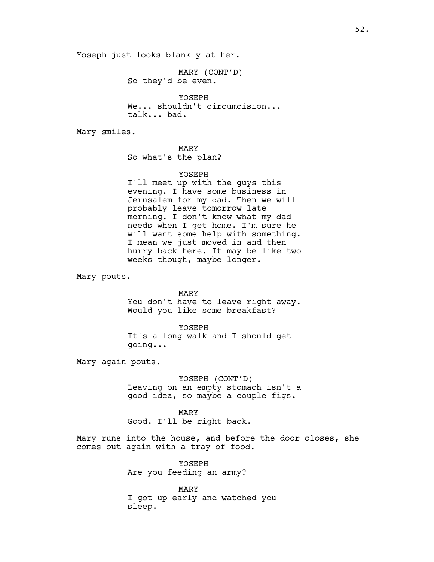Yoseph just looks blankly at her.

MARY (CONT'D) So they'd be even.

YOSEPH We... shouldn't circumcision... talk... bad.

Mary smiles.

MARY So what's the plan?

### YOSEPH

I'll meet up with the guys this evening. I have some business in Jerusalem for my dad. Then we will probably leave tomorrow late morning. I don't know what my dad needs when I get home. I'm sure he will want some help with something. I mean we just moved in and then hurry back here. It may be like two weeks though, maybe longer.

Mary pouts.

MARY

You don't have to leave right away. Would you like some breakfast?

YOSEPH It's a long walk and I should get going...

Mary again pouts.

YOSEPH (CONT'D) Leaving on an empty stomach isn't a good idea, so maybe a couple figs.

MARY Good. I'll be right back.

Mary runs into the house, and before the door closes, she comes out again with a tray of food.

> YOSEPH Are you feeding an army?

MARY I got up early and watched you sleep.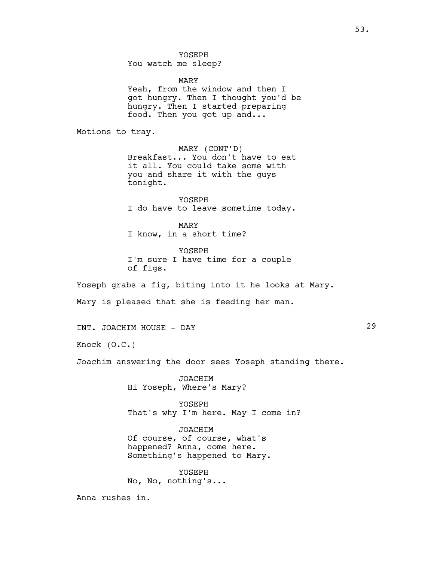YOSEPH You watch me sleep?

MARY Yeah, from the window and then I got hungry. Then I thought you'd be hungry. Then I started preparing food. Then you got up and...

Motions to tray.

MARY (CONT'D) Breakfast... You don't have to eat it all. You could take some with you and share it with the guys tonight.

YOSEPH I do have to leave sometime today.

MARY I know, in a short time?

YOSEPH I'm sure I have time for a couple of figs.

Yoseph grabs a fig, biting into it he looks at Mary.

Mary is pleased that she is feeding her man.

INT. JOACHIM HOUSE - DAY 29

Knock (O.C.)

Joachim answering the door sees Yoseph standing there.

JOACHIM Hi Yoseph, Where's Mary?

YOSEPH That's why I'm here. May I come in?

JOACHIM Of course, of course, what's happened? Anna, come here. Something's happened to Mary.

YOSEPH No, No, nothing's...

Anna rushes in.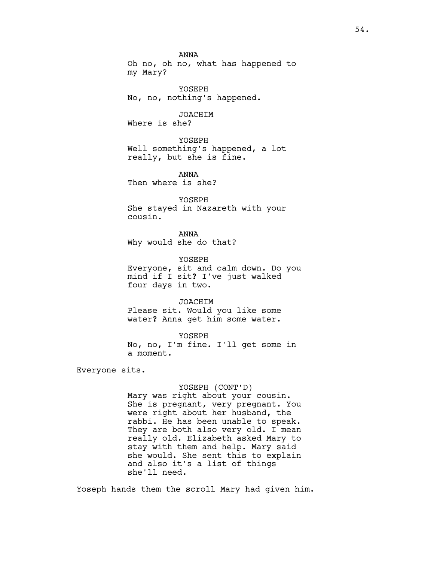ANNA Oh no, oh no, what has happened to my Mary?

YOSEPH No, no, nothing's happened.

JOACHIM Where is she?

YOSEPH Well something's happened, a lot really, but she is fine.

ANNA Then where is she?

YOSEPH She stayed in Nazareth with your cousin.

ANNA Why would she do that?

YOSEPH Everyone, sit and calm down. Do you mind if I sit? I've just walked four days in two.

JOACHIM Please sit. Would you like some water? Anna get him some water.

YOSEPH No, no, I'm fine. I'll get some in a moment.

Everyone sits.

# YOSEPH (CONT'D)

Mary was right about your cousin. She is pregnant, very pregnant. You were right about her husband, the rabbi. He has been unable to speak. They are both also very old. I mean really old. Elizabeth asked Mary to stay with them and help. Mary said she would. She sent this to explain and also it's a list of things she'll need.

Yoseph hands them the scroll Mary had given him.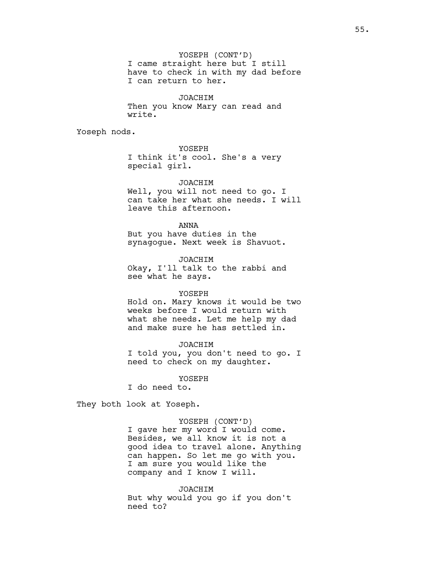YOSEPH (CONT'D) I came straight here but I still have to check in with my dad before I can return to her.

JOACHIM Then you know Mary can read and write.

Yoseph nods.

# YOSEPH

I think it's cool. She's a very special girl.

## JOACHIM

Well, you will not need to go. I can take her what she needs. I will leave this afternoon.

ANNA

But you have duties in the synagogue. Next week is Shavuot.

JOACHIM Okay, I'll talk to the rabbi and see what he says.

### YOSEPH

Hold on. Mary knows it would be two weeks before I would return with what she needs. Let me help my dad and make sure he has settled in.

#### JOACHIM

I told you, you don't need to go. I need to check on my daughter.

# YOSEPH

I do need to.

They both look at Yoseph.

## YOSEPH (CONT'D)

I gave her my word I would come. Besides, we all know it is not a good idea to travel alone. Anything can happen. So let me go with you. I am sure you would like the company and I know I will.

JOACHIM But why would you go if you don't need to?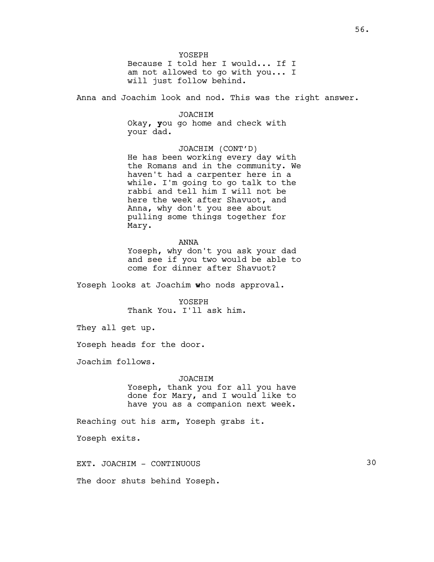YOSEPH Because I told her I would... If I am not allowed to go with you... I will just follow behind.

Anna and Joachim look and nod. This was the right answer.

JOACHIM Okay, you go home and check with your dad.

JOACHIM (CONT'D) He has been working every day with the Romans and in the community. We haven't had a carpenter here in a while. I'm going to go talk to the rabbi and tell him I will not be here the week after Shavuot, and Anna, why don't you see about pulling some things together for Mary.

ANNA

Yoseph, why don't you ask your dad and see if you two would be able to come for dinner after Shavuot?

Yoseph looks at Joachim who nods approval.

YOSEPH Thank You. I'll ask him.

They all get up.

Yoseph heads for the door.

Joachim follows.

### JOACHIM

Yoseph, thank you for all you have done for Mary, and I would like to have you as a companion next week.

Reaching out his arm, Yoseph grabs it.

Yoseph exits.

EXT. JOACHIM - CONTINUOUS 30

The door shuts behind Yoseph.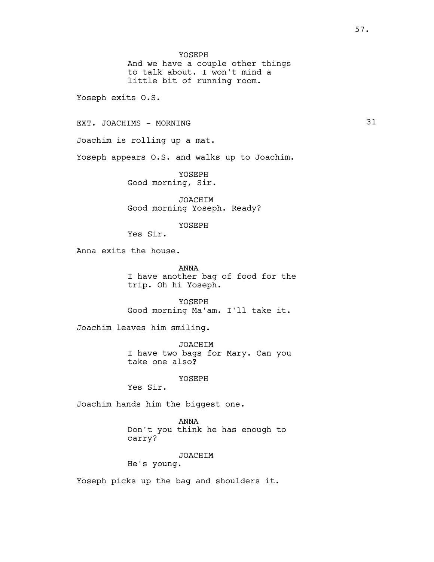YOSEPH

And we have a couple other things to talk about. I won't mind a little bit of running room.

Yoseph exits O.S.

EXT. JOACHIMS - MORNING 31

Joachim is rolling up a mat.

Yoseph appears O.S. and walks up to Joachim.

YOSEPH Good morning, Sir.

JOACHIM Good morning Yoseph. Ready?

YOSEPH

Yes Sir.

Anna exits the house.

ANNA I have another bag of food for the trip. Oh hi Yoseph.

YOSEPH Good morning Ma'am. I'll take it.

Joachim leaves him smiling.

JOACHIM I have two bags for Mary. Can you take one also?

YOSEPH

Yes Sir.

Joachim hands him the biggest one.

ANNA Don't you think he has enough to carry?

JOACHIM

He's young.

Yoseph picks up the bag and shoulders it.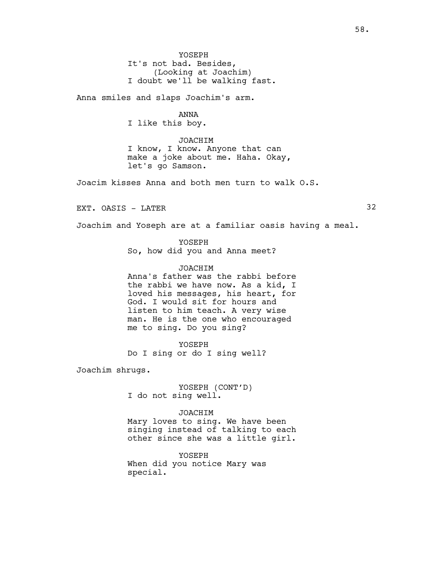YOSEPH It's not bad. Besides, (Looking at Joachim) I doubt we'll be walking fast.

Anna smiles and slaps Joachim's arm.

## ANNA

I like this boy.

JOACHIM I know, I know. Anyone that can make a joke about me. Haha. Okay, let's go Samson.

Joacim kisses Anna and both men turn to walk O.S.

EXT. OASIS - LATER 32

Joachim and Yoseph are at a familiar oasis having a meal.

YOSEPH So, how did you and Anna meet?

# JOACHIM

Anna's father was the rabbi before the rabbi we have now. As a kid, I loved his messages, his heart, for God. I would sit for hours and listen to him teach. A very wise man. He is the one who encouraged me to sing. Do you sing?

YOSEPH Do I sing or do I sing well?

Joachim shrugs.

YOSEPH (CONT'D) I do not sing well.

JOACHIM

Mary loves to sing. We have been singing instead of talking to each other since she was a little girl.

YOSEPH When did you notice Mary was special.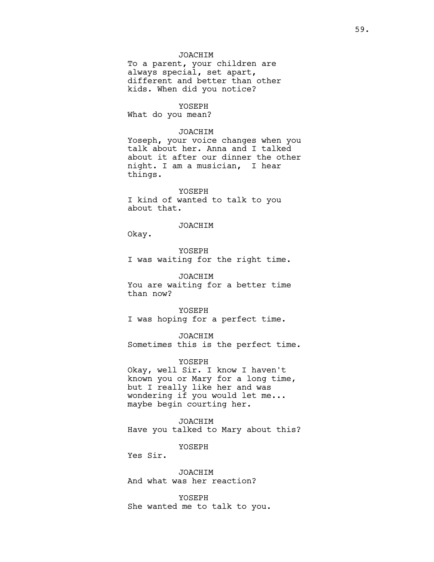# JOACHIM

To a parent, your children are always special, set apart, different and better than other kids. When did you notice?

### YOSEPH

What do you mean?

### JOACHIM

Yoseph, your voice changes when you talk about her. Anna and I talked about it after our dinner the other night. I am a musician, I hear things.

YOSEPH I kind of wanted to talk to you about that.

# JOACHIM

Okay.

YOSEPH I was waiting for the right time.

JOACHIM You are waiting for a better time than now?

YOSEPH I was hoping for a perfect time.

JOACHIM Sometimes this is the perfect time.

### YOSEPH

Okay, well Sir. I know I haven't known you or Mary for a long time, but I really like her and was wondering if you would let me... maybe begin courting her.

JOACHIM Have you talked to Mary about this?

YOSEPH

Yes Sir.

JOACHIM And what was her reaction?

YOSEPH She wanted me to talk to you.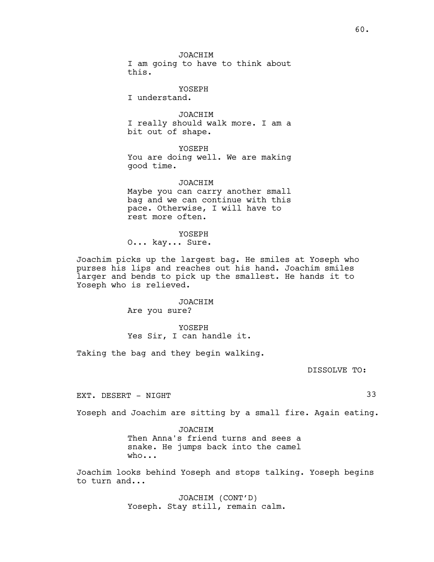JOACHIM

I am going to have to think about this.

YOSEPH

I understand.

JOACHIM I really should walk more. I am a bit out of shape.

YOSEPH You are doing well. We are making good time.

JOACHIM Maybe you can carry another small bag and we can continue with this pace. Otherwise, I will have to rest more often.

YOSEPH O... kay... Sure.

Joachim picks up the largest bag. He smiles at Yoseph who purses his lips and reaches out his hand. Joachim smiles larger and bends to pick up the smallest. He hands it to Yoseph who is relieved.

> JOACHIM Are you sure?

YOSEPH Yes Sir, I can handle it.

Taking the bag and they begin walking.

DISSOLVE TO:

EXT. DESERT - NIGHT 33

Yoseph and Joachim are sitting by a small fire. Again eating.

JOACHIM Then Anna's friend turns and sees a snake. He jumps back into the camel who...

Joachim looks behind Yoseph and stops talking. Yoseph begins to turn and...

> JOACHIM (CONT'D) Yoseph. Stay still, remain calm.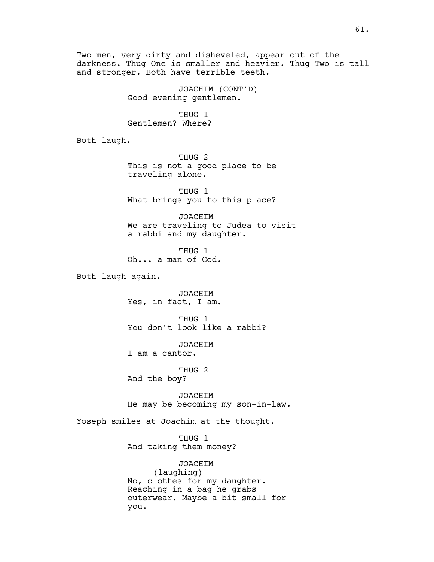Two men, very dirty and disheveled, appear out of the darkness. Thug One is smaller and heavier. Thug Two is tall and stronger. Both have terrible teeth.

> JOACHIM (CONT'D) Good evening gentlemen.

THUG 1 Gentlemen? Where?

Both laugh.

THUG 2 This is not a good place to be traveling alone.

THUG 1 What brings you to this place?

JOACHIM We are traveling to Judea to visit a rabbi and my daughter.

THUG 1 Oh... a man of God.

Both laugh again.

JOACHIM Yes, in fact, I am.

THUG 1 You don't look like a rabbi?

JOACHIM I am a cantor.

THUG 2 And the boy?

JOACHIM He may be becoming my son-in-law.

Yoseph smiles at Joachim at the thought.

THUG 1 And taking them money?

JOACHIM (laughing) No, clothes for my daughter. Reaching in a bag he grabs outerwear. Maybe a bit small for you.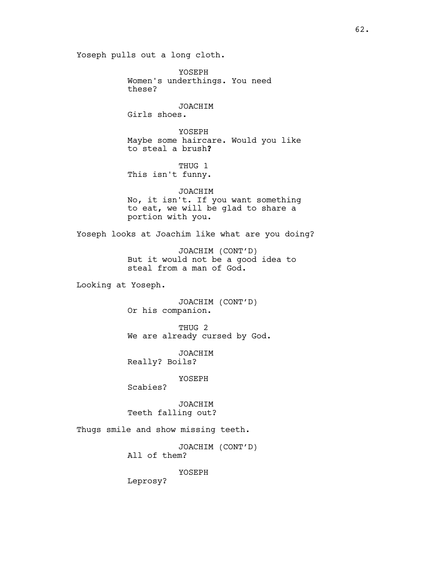Yoseph pulls out a long cloth.

YOSEPH Women's underthings. You need these? JOACHIM Girls shoes. YOSEPH Maybe some haircare. Would you like to steal a brush? THUG 1 This isn't funny. JOACHIM No, it isn't. If you want something to eat, we will be glad to share a portion with you. Yoseph looks at Joachim like what are you doing? JOACHIM (CONT'D) But it would not be a good idea to steal from a man of God. Looking at Yoseph. JOACHIM (CONT'D) Or his companion. THUG 2 We are already cursed by God. JOACHIM Really? Boils? YOSEPH Scabies? JOACHIM Teeth falling out? Thugs smile and show missing teeth. JOACHIM (CONT'D) All of them? YOSEPH Leprosy?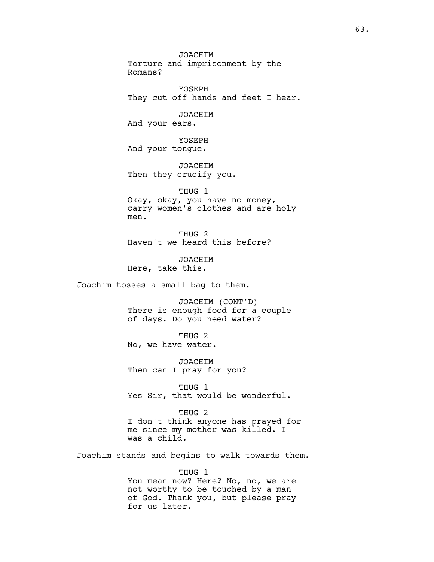JOACHIM Torture and imprisonment by the Romans? YOSEPH They cut off hands and feet I hear. JOACHIM And your ears. YOSEPH And your tongue. JOACHIM Then they crucify you. THUG 1 Okay, okay, you have no money, carry women's clothes and are holy men. THUG 2 Haven't we heard this before? JOACHIM Here, take this. Joachim tosses a small bag to them. JOACHIM (CONT'D) There is enough food for a couple of days. Do you need water? THUG 2 No, we have water. JOACHIM Then can I pray for you? THUG 1 Yes Sir, that would be wonderful. THUG 2 I don't think anyone has prayed for me since my mother was killed. I was a child. Joachim stands and begins to walk towards them. THUG 1

You mean now? Here? No, no, we are not worthy to be touched by a man of God. Thank you, but please pray for us later.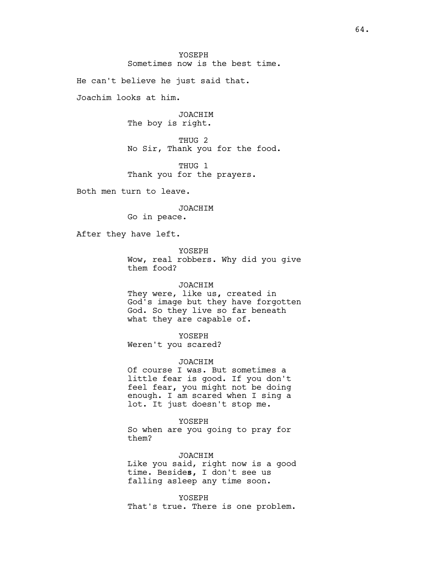YOSEPH Sometimes now is the best time.

He can't believe he just said that.

Joachim looks at him.

JOACHIM The boy is right.

THUG 2 No Sir, Thank you for the food.

THUG 1 Thank you for the prayers.

Both men turn to leave.

### JOACHIM

Go in peace.

After they have left.

YOSEPH Wow, real robbers. Why did you give them food?

# JOACHIM

They were, like us, created in God's image but they have forgotten God. So they live so far beneath what they are capable of.

YOSEPH

Weren't you scared?

### JOACHIM

Of course I was. But sometimes a little fear is good. If you don't feel fear, you might not be doing enough. I am scared when I sing a lot. It just doesn't stop me.

#### YOSEPH

So when are you going to pray for them?

### JOACHIM

Like you said, right now is a good time. Besides, I don't see us falling asleep any time soon.

YOSEPH That's true. There is one problem.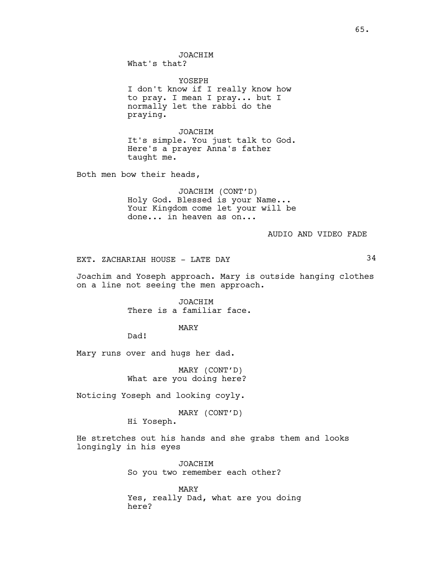JOACHIM What's that?

YOSEPH I don't know if I really know how to pray. I mean I pray... but I normally let the rabbi do the praying.

JOACHIM It's simple. You just talk to God. Here's a prayer Anna's father taught me.

Both men bow their heads,

JOACHIM (CONT'D) Holy God. Blessed is your Name... Your Kingdom come let your will be done... in heaven as on...

AUDIO AND VIDEO FADE

EXT. ZACHARIAH HOUSE - LATE DAY 34

Joachim and Yoseph approach. Mary is outside hanging clothes on a line not seeing the men approach.

> JOACHIM There is a familiar face.

> > MARY

Dad!

Mary runs over and hugs her dad.

MARY (CONT'D) What are you doing here?

Noticing Yoseph and looking coyly.

MARY (CONT'D)

Hi Yoseph.

He stretches out his hands and she grabs them and looks longingly in his eyes

> JOACHIM So you two remember each other?

MARY Yes, really Dad, what are you doing here?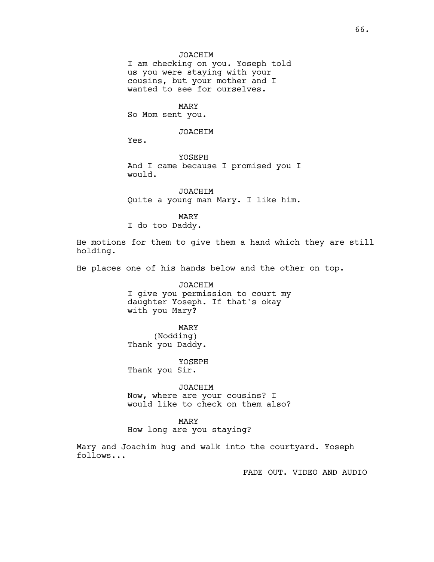# JOACHIM

I am checking on you. Yoseph told us you were staying with your cousins, but your mother and I wanted to see for ourselves.

MARY So Mom sent you.

# JOACHIM

Yes.

YOSEPH And I came because I promised you I would.

JOACHIM Quite a young man Mary. I like him.

MARY I do too Daddy.

He motions for them to give them a hand which they are still holding.

He places one of his hands below and the other on top.

JOACHIM I give you permission to court my daughter Yoseph. If that's okay with you Mary?

MARY (Nodding) Thank you Daddy.

YOSEPH Thank you Sir.

JOACHIM Now, where are your cousins? I would like to check on them also?

# MARY

How long are you staying?

Mary and Joachim hug and walk into the courtyard. Yoseph follows...

FADE OUT. VIDEO AND AUDIO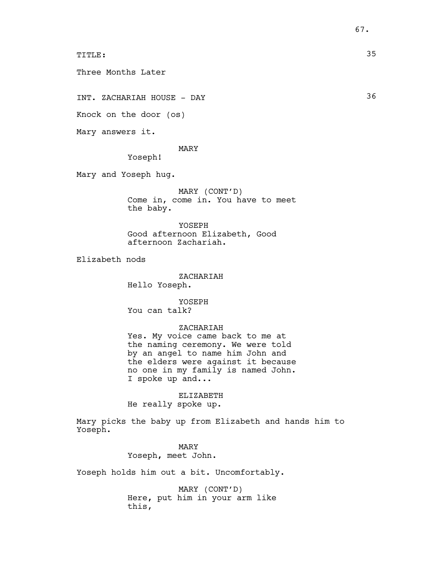TITLE: 35

Three Months Later

INT. ZACHARIAH HOUSE - DAY 36

Knock on the door (os)

Mary answers it.

MARY

Yoseph!

Mary and Yoseph hug.

MARY (CONT'D) Come in, come in. You have to meet the baby.

YOSEPH Good afternoon Elizabeth, Good afternoon Zachariah.

Elizabeth nods

ZACHARIAH Hello Yoseph.

YOSEPH You can talk?

## ZACHARIAH

Yes. My voice came back to me at the naming ceremony. We were told by an angel to name him John and the elders were against it because no one in my family is named John. I spoke up and...

ELIZABETH He really spoke up.

Mary picks the baby up from Elizabeth and hands him to Yoseph.

> MARY Yoseph, meet John.

Yoseph holds him out a bit. Uncomfortably.

MARY (CONT'D) Here, put him in your arm like this,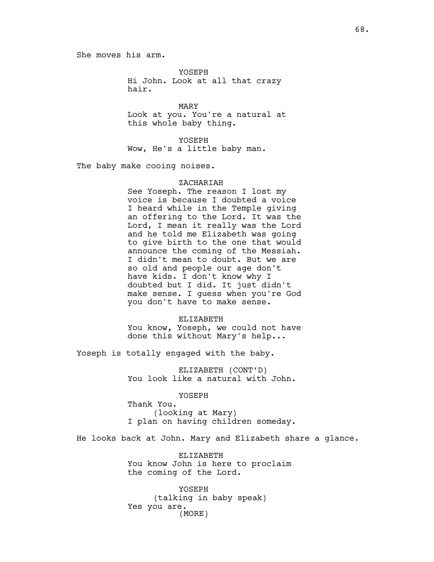She moves his arm.

YOSEPH Hi John. Look at all that crazy hair.

MARY Look at you. You're a natural at this whole baby thing.

YOSEPH Wow, He's a little baby man.

The baby make cooing noises.

### ZACHARIAH

See Yoseph. The reason I lost my voice is because I doubted a voice I heard while in the Temple giving an offering to the Lord. It was the Lord, I mean it really was the Lord and he told me Elizabeth was going to give birth to the one that would announce the coming of the Messiah. I didn't mean to doubt. But we are so old and people our age don't have kids. I don't know why I doubted but I did. It just didn't make sense. I guess when you're God you don't have to make sense.

ELIZABETH

You know, Yoseph, we could not have done this without Mary's help...

Yoseph is totally engaged with the baby.

ELIZABETH (CONT'D) You look like a natural with John.

YOSEPH

Thank You. (looking at Mary) I plan on having children someday.

He looks back at John. Mary and Elizabeth share a glance.

ELIZABETH You know John is here to proclaim the coming of the Lord.

YOSEPH (talking in baby speak) Yes you are. (MORE)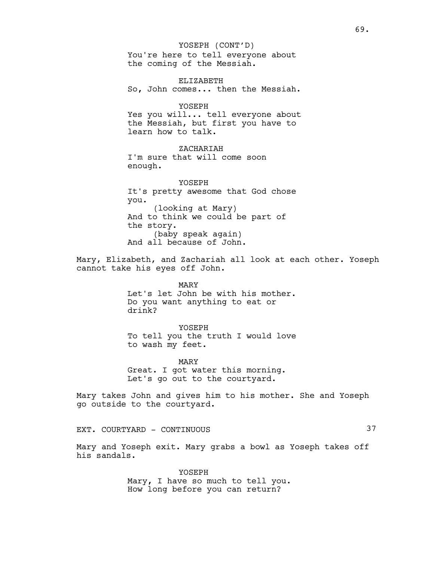You're here to tell everyone about the coming of the Messiah. YOSEPH (CONT'D)

ELIZABETH So, John comes... then the Messiah.

YOSEPH Yes you will... tell everyone about the Messiah, but first you have to learn how to talk.

ZACHARIAH I'm sure that will come soon enough.

YOSEPH It's pretty awesome that God chose you. (looking at Mary) And to think we could be part of the story. (baby speak again) And all because of John.

Mary, Elizabeth, and Zachariah all look at each other. Yoseph cannot take his eyes off John.

> MARY Let's let John be with his mother. Do you want anything to eat or drink?

> YOSEPH To tell you the truth I would love to wash my feet.

MARY Great. I got water this morning. Let's go out to the courtyard.

Mary takes John and gives him to his mother. She and Yoseph go outside to the courtyard.

EXT. COURTYARD - CONTINUOUS 37

Mary and Yoseph exit. Mary grabs a bowl as Yoseph takes off his sandals.

> YOSEPH Mary, I have so much to tell you. How long before you can return?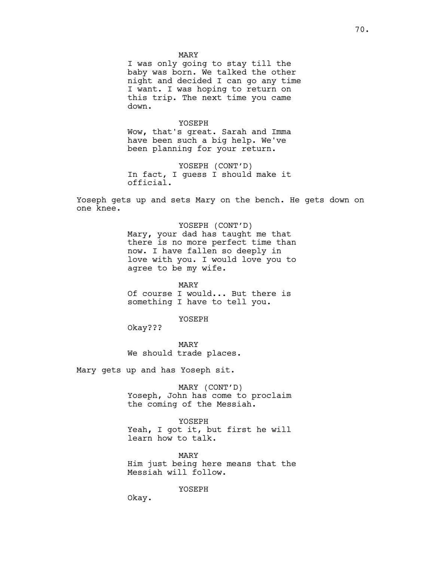MARY

I was only going to stay till the baby was born. We talked the other night and decided I can go any time I want. I was hoping to return on this trip. The next time you came down.

YOSEPH

Wow, that's great. Sarah and Imma have been such a big help. We've been planning for your return.

YOSEPH (CONT'D) In fact, I guess I should make it official.

Yoseph gets up and sets Mary on the bench. He gets down on one knee.

> YOSEPH (CONT'D) Mary, your dad has taught me that there is no more perfect time than now. I have fallen so deeply in love with you. I would love you to agree to be my wife.

MARY Of course I would... But there is something I have to tell you.

YOSEPH

Okay???

MARY We should trade places.

Mary gets up and has Yoseph sit.

MARY (CONT'D) Yoseph, John has come to proclaim the coming of the Messiah.

YOSEPH Yeah, I got it, but first he will learn how to talk.

MARY Him just being here means that the Messiah will follow.

YOSEPH

Okay.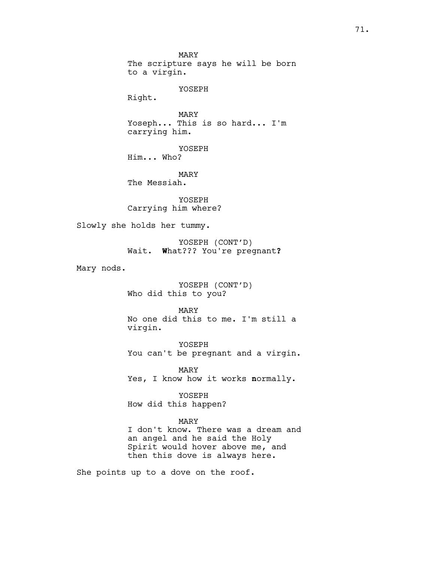MARY The scripture says he will be born to a virgin. YOSEPH Right. MARY Yoseph... This is so hard... I'm carrying him. YOSEPH Him... Who? MARY The Messiah. YOSEPH Carrying him where? Slowly she holds her tummy. YOSEPH (CONT'D) Wait. What??? You're pregnant? Mary nods. YOSEPH (CONT'D) Who did this to you? MARY No one did this to me. I'm still a virgin. YOSEPH You can't be pregnant and a virgin. MARY Yes, I know how it works normally. YOSEPH How did this happen? MARY I don't know. There was a dream and an angel and he said the Holy Spirit would hover above me, and then this dove is always here.

She points up to a dove on the roof.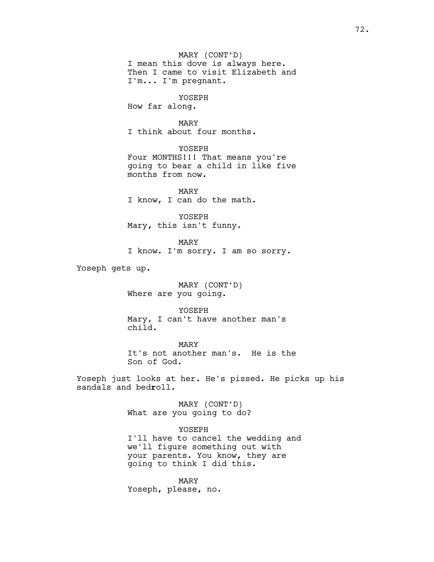MARY (CONT'D) I mean this dove is always here. Then I came to visit Elizabeth and I'm... I'm pregnant.

YOSEPH

How far along.

# MARY

I think about four months.

YOSEPH Four MONTHS!!! That means you're going to bear a child in like five months from now.

MARY I know, I can do the math.

YOSEPH Mary, this isn't funny.

MARY I know. I'm sorry. I am so sorry.

Yoseph gets up.

MARY (CONT'D) Where are you going.

YOSEPH

Mary, I can't have another man's child.

MARY It's not another man's. He is the Son of God.

Yoseph just looks at her. He's pissed. He picks up his sandals and bedroll.

> MARY (CONT'D) What are you going to do?

YOSEPH I'll have to cancel the wedding and we'll figure something out with your parents. You know, they are going to think I did this.

MARY Yoseph, please, no.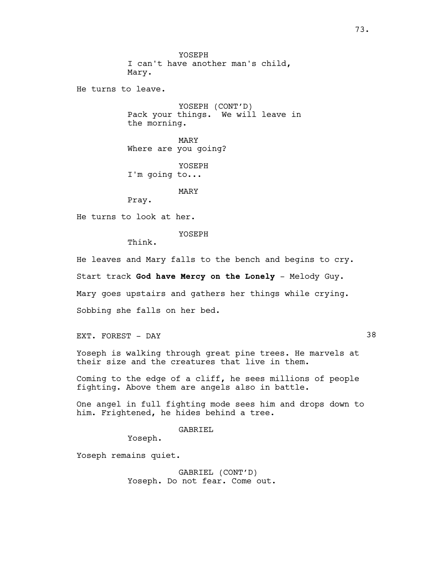YOSEPH I can't have another man's child, Mary. He turns to leave. YOSEPH (CONT'D) Pack your things. We will leave in the morning.

> MARY Where are you going?

YOSEPH I'm going to...

MARY

Pray.

He turns to look at her.

YOSEPH

Think.

He leaves and Mary falls to the bench and begins to cry.

Start track God have Mercy on the Lonely - Melody Guy.

Mary goes upstairs and gathers her things while crying.

Sobbing she falls on her bed.

EXT. FOREST - DAY 38

Yoseph is walking through great pine trees. He marvels at their size and the creatures that live in them.

Coming to the edge of a cliff, he sees millions of people fighting. Above them are angels also in battle.

One angel in full fighting mode sees him and drops down to him. Frightened, he hides behind a tree.

GABRIEL

Yoseph.

Yoseph remains quiet.

GABRIEL (CONT'D) Yoseph. Do not fear. Come out.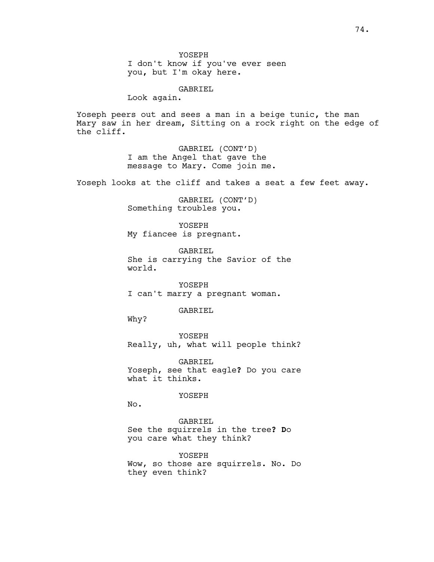YOSEPH I don't know if you've ever seen you, but I'm okay here.

GABRIEL

Look again.

Yoseph peers out and sees a man in a beige tunic, the man Mary saw in her dream, Sitting on a rock right on the edge of the cliff.

> GABRIEL (CONT'D) I am the Angel that gave the message to Mary. Come join me.

Yoseph looks at the cliff and takes a seat a few feet away.

GABRIEL (CONT'D) Something troubles you.

YOSEPH My fiancee is pregnant.

GABRIEL She is carrying the Savior of the world.

YOSEPH I can't marry a pregnant woman.

GABRIEL

Why?

YOSEPH Really, uh, what will people think?

GABRIEL Yoseph, see that eagle? Do you care what it thinks.

YOSEPH

No.

GABRIEL See the squirrels in the tree? Do you care what they think?

YOSEPH Wow, so those are squirrels. No. Do they even think?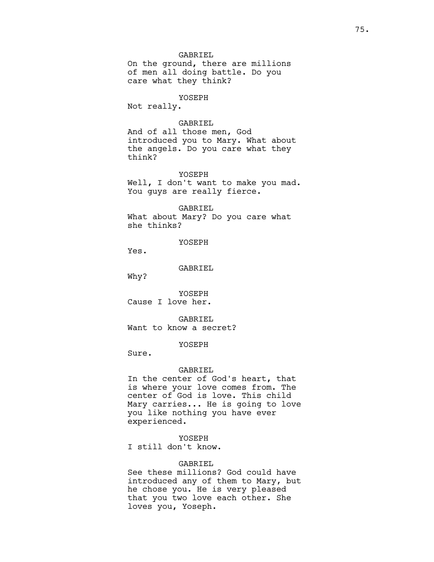## GABRIEL

On the ground, there are millions of men all doing battle. Do you care what they think?

## YOSEPH

Not really.

## GABRIEL

And of all those men, God introduced you to Mary. What about the angels. Do you care what they think?

#### YOSEPH

Well, I don't want to make you mad. You guys are really fierce.

#### GABRIEL

What about Mary? Do you care what she thinks?

YOSEPH

Yes.

GABRIEL

Why?

YOSEPH Cause I love her.

GABRIEL Want to know a secret?

## YOSEPH

Sure.

#### GABRIEL

In the center of God's heart, that is where your love comes from. The center of God is love. This child Mary carries... He is going to love you like nothing you have ever experienced.

## YOSEPH

I still don't know.

## GABRIEL

See these millions? God could have introduced any of them to Mary, but he chose you. He is very pleased that you two love each other. She loves you, Yoseph.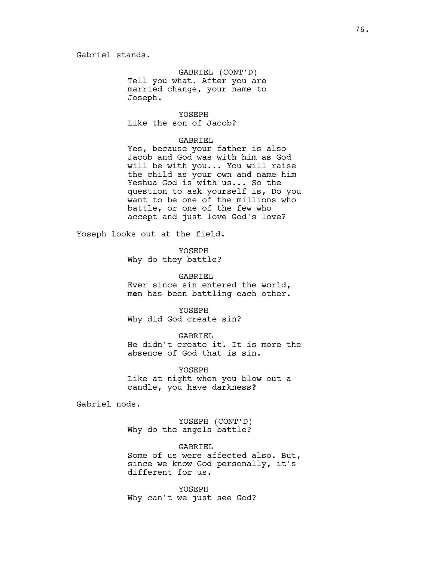GABRIEL (CONT'D) Tell you what. After you are married change, your name to Joseph.

YOSEPH Like the son of Jacob?

## GABRIEL

Yes, because your father is also Jacob and God was with him as God will be with you... You will raise the child as your own and name him Yeshua God is with us... So the question to ask yourself is, Do you want to be one of the millions who battle, or one of the few who accept and just love God's love?

Yoseph looks out at the field.

YOSEPH Why do they battle?

GABRIEL Ever since sin entered the world, men has been battling each other.

YOSEPH Why did God create sin?

GABRIEL He didn't create it. It is more the absence of God that is sin.

YOSEPH Like at night when you blow out a candle, you have darkness?

Gabriel nods.

YOSEPH (CONT'D) Why do the angels battle?

GABRIEL Some of us were affected also. But, since we know God personally, it's different for us.

YOSEPH Why can't we just see God?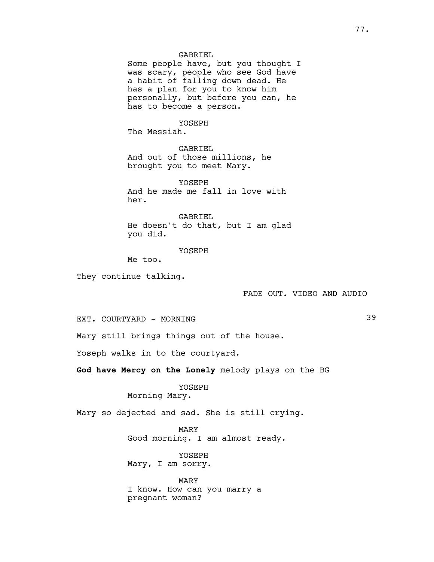## GABRIEL

Some people have, but you thought I was scary, people who see God have a habit of falling down dead. He has a plan for you to know him personally, but before you can, he has to become a person.

# YOSEPH

The Messiah.

GABRIEL And out of those millions, he brought you to meet Mary.

YOSEPH And he made me fall in love with her.

GABRIEL He doesn't do that, but I am glad you did.

## YOSEPH

Me too.

They continue talking.

## FADE OUT. VIDEO AND AUDIO

EXT. COURTYARD - MORNING 39

Mary still brings things out of the house.

Yoseph walks in to the courtyard.

God have Mercy on the Lonely melody plays on the BG

YOSEPH Morning Mary.

Mary so dejected and sad. She is still crying.

MARY Good morning. I am almost ready.

YOSEPH Mary, I am sorry.

MARY I know. How can you marry a pregnant woman?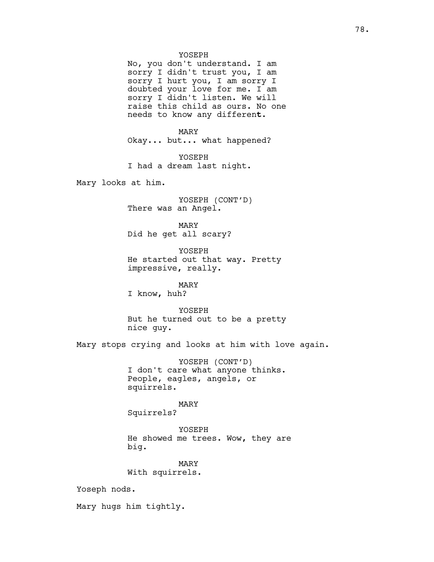YOSEPH

No, you don't understand. I am sorry I didn't trust you, I am sorry I hurt you, I am sorry I doubted your love for me. I am sorry I didn't listen. We will raise this child as ours. No one needs to know any different.

MARY Okay... but... what happened?

YOSEPH I had a dream last night.

Mary looks at him.

YOSEPH (CONT'D) There was an Angel.

MARY Did he get all scary?

YOSEPH He started out that way. Pretty impressive, really.

MARY I know, huh?

YOSEPH But he turned out to be a pretty

nice guy.

Mary stops crying and looks at him with love again.

YOSEPH (CONT'D) I don't care what anyone thinks. People, eagles, angels, or squirrels.

MARY Squirrels?

YOSEPH He showed me trees. Wow, they are big.

MARY With squirrels.

Yoseph nods.

Mary hugs him tightly.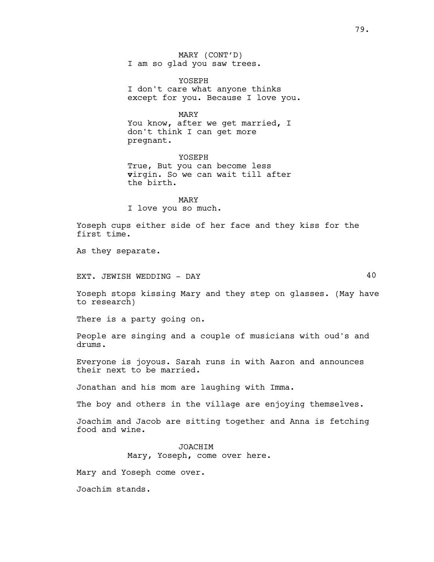MARY (CONT'D) I am so glad you saw trees.

YOSEPH I don't care what anyone thinks except for you. Because I love you.

MARY You know, after we get married, I don't think I can get more pregnant.

YOSEPH True, But you can become less virgin. So we can wait till after the birth.

MARY I love you so much.

Yoseph cups either side of her face and they kiss for the first time.

As they separate.

EXT. JEWISH WEDDING - DAY 40

Yoseph stops kissing Mary and they step on glasses. (May have to research)

There is a party going on.

People are singing and a couple of musicians with oud's and drums.

Everyone is joyous. Sarah runs in with Aaron and announces their next to be married.

Jonathan and his mom are laughing with Imma.

The boy and others in the village are enjoying themselves.

Joachim and Jacob are sitting together and Anna is fetching food and wine.

> **JOACHIM** Mary, Yoseph, come over here.

Mary and Yoseph come over.

Joachim stands.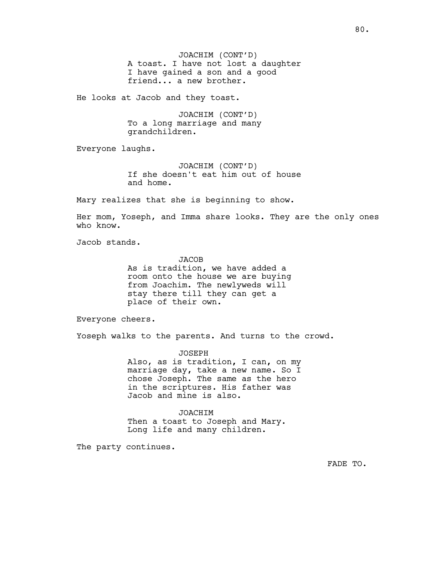JOACHIM (CONT'D) A toast. I have not lost a daughter I have gained a son and a good friend... a new brother.

He looks at Jacob and they toast.

JOACHIM (CONT'D) To a long marriage and many grandchildren.

Everyone laughs.

JOACHIM (CONT'D) If she doesn't eat him out of house and home.

Mary realizes that she is beginning to show.

Her mom, Yoseph, and Imma share looks. They are the only ones who know.

Jacob stands.

**JACOB** 

As is tradition, we have added a room onto the house we are buying from Joachim. The newlyweds will stay there till they can get a place of their own.

Everyone cheers.

Yoseph walks to the parents. And turns to the crowd.

JOSEPH Also, as is tradition, I can, on my marriage day, take a new name. So I chose Joseph. The same as the hero in the scriptures. His father was Jacob and mine is also.

JOACHIM Then a toast to Joseph and Mary. Long life and many children.

The party continues.

FADE TO.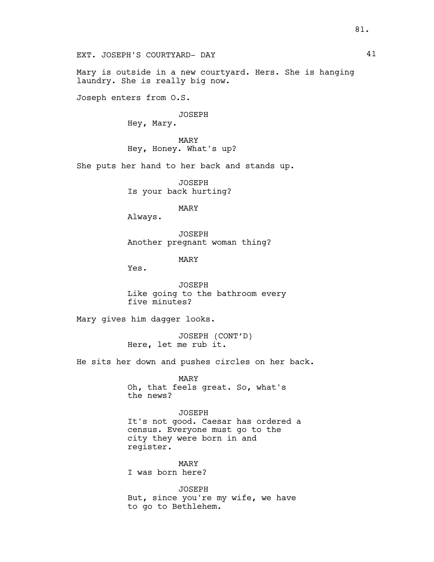Mary is outside in a new courtyard. Hers. She is hanging laundry. She is really big now.

Joseph enters from O.S.

JOSEPH

Hey, Mary.

MARY Hey, Honey. What's up?

She puts her hand to her back and stands up.

JOSEPH Is your back hurting?

MARY

Always.

JOSEPH Another pregnant woman thing?

MARY

Yes.

JOSEPH Like going to the bathroom every five minutes?

Mary gives him dagger looks.

JOSEPH (CONT'D) Here, let me rub it.

He sits her down and pushes circles on her back.

MARY Oh, that feels great. So, what's the news?

JOSEPH It's not good. Caesar has ordered a census. Everyone must go to the city they were born in and register.

MARY I was born here?

JOSEPH But, since you're my wife, we have to go to Bethlehem.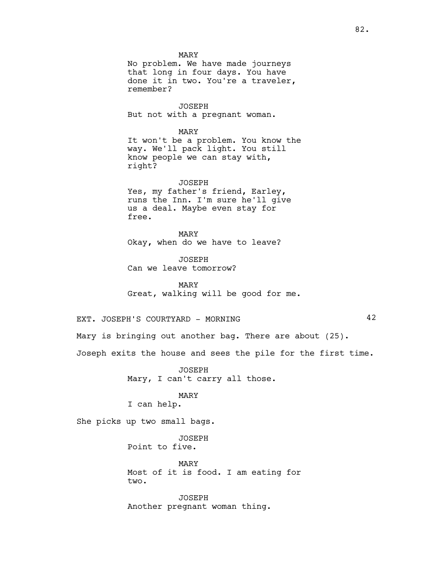MARY No problem. We have made journeys that long in four days. You have done it in two. You're a traveler, remember?

JOSEPH But not with a pregnant woman.

MARY It won't be a problem. You know the way. We'll pack light. You still know people we can stay with, right?

JOSEPH Yes, my father's friend, Earley, runs the Inn. I'm sure he'll give us a deal. Maybe even stay for free.

MARY Okay, when do we have to leave?

JOSEPH Can we leave tomorrow?

MARY Great, walking will be good for me.

EXT. JOSEPH'S COURTYARD - MORNING 42

Mary is bringing out another bag. There are about (25).

Joseph exits the house and sees the pile for the first time.

JOSEPH Mary, I can't carry all those.

MARY

I can help.

She picks up two small bags.

JOSEPH Point to five.

MARY Most of it is food. I am eating for two.

JOSEPH Another pregnant woman thing.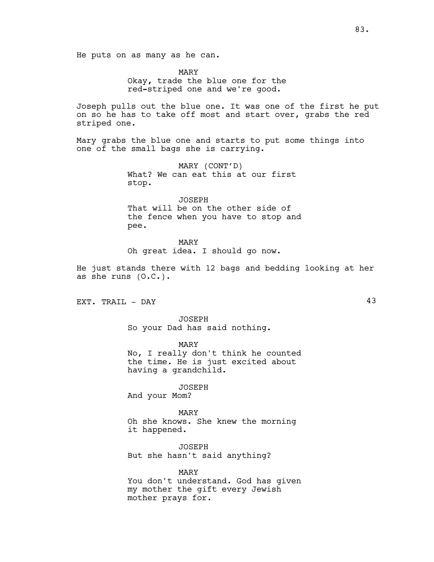He puts on as many as he can.

MARY Okay, trade the blue one for the red-striped one and we're good.

Joseph pulls out the blue one. It was one of the first he put on so he has to take off most and start over, grabs the red striped one.

Mary grabs the blue one and starts to put some things into one of the small bags she is carrying.

> MARY (CONT'D) What? We can eat this at our first stop.

JOSEPH That will be on the other side of the fence when you have to stop and pee.

MARY Oh great idea. I should go now.

He just stands there with 12 bags and bedding looking at her as she runs (O.C.).

EXT. TRAIL - DAY 43

JOSEPH So your Dad has said nothing.

MARY No, I really don't think he counted the time. He is just excited about having a grandchild.

JOSEPH And your Mom?

MARY Oh she knows. She knew the morning it happened.

JOSEPH But she hasn't said anything?

MARY You don't understand. God has given my mother the gift every Jewish mother prays for.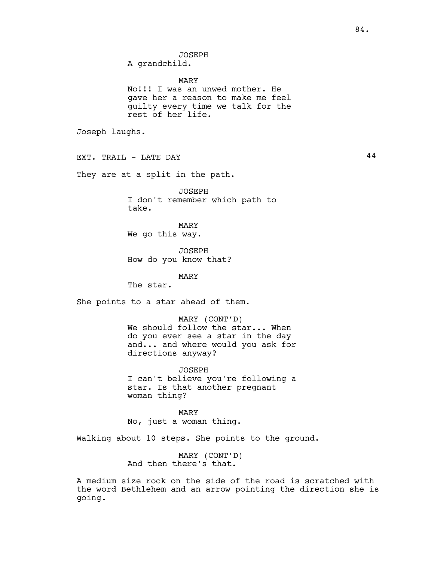A grandchild.

#### MARY

No!!! I was an unwed mother. He gave her a reason to make me feel guilty every time we talk for the rest of her life.

Joseph laughs.

EXT. TRAIL - LATE DAY 44

They are at a split in the path.

JOSEPH I don't remember which path to take.

MARY We go this way.

JOSEPH How do you know that?

MARY

The star.

She points to a star ahead of them.

MARY (CONT'D) We should follow the star... When do you ever see a star in the day and... and where would you ask for directions anyway?

JOSEPH I can't believe you're following a star. Is that another pregnant woman thing?

MARY No, just a woman thing.

Walking about 10 steps. She points to the ground.

MARY (CONT'D) And then there's that.

A medium size rock on the side of the road is scratched with the word Bethlehem and an arrow pointing the direction she is going.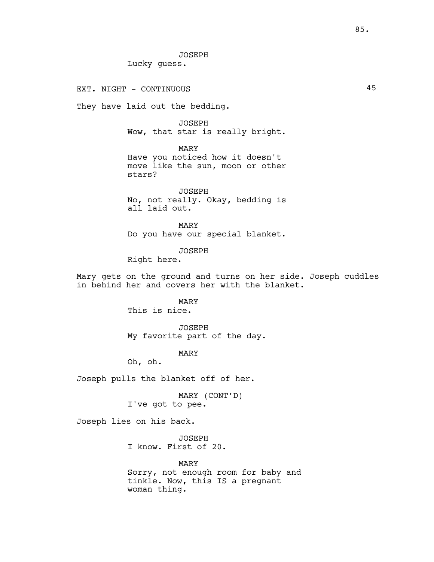JOSEPH Lucky guess.

EXT. NIGHT - CONTINUOUS

They have laid out the bedding.

JOSEPH Wow, that star is really bright.

MARY Have you noticed how it doesn't move like the sun, moon or other stars?

JOSEPH No, not really. Okay, bedding is all laid out.

MARY Do you have our special blanket.

JOSEPH

Right here.

Mary gets on the ground and turns on her side. Joseph cuddles in behind her and covers her with the blanket.

## MARY

This is nice.

JOSEPH My favorite part of the day.

MARY

Oh, oh.

Joseph pulls the blanket off of her.

MARY (CONT'D) I've got to pee.

Joseph lies on his back.

JOSEPH I know. First of 20.

MARY Sorry, not enough room for baby and tinkle. Now, this IS a pregnant woman thing.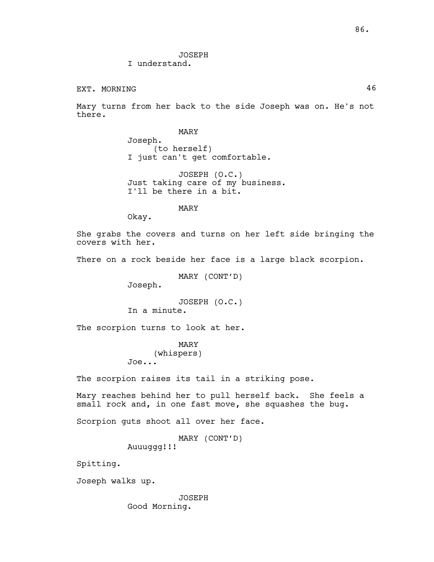JOSEPH I understand.

## EXT. MORNING  $46$

Mary turns from her back to the side Joseph was on. He's not there.

MARY

Joseph. (to herself) I just can't get comfortable.

JOSEPH (O.C.) Just taking care of my business. I'll be there in a bit.

## MARY

Okay.

She grabs the covers and turns on her left side bringing the covers with her.

There on a rock beside her face is a large black scorpion.

MARY (CONT'D)

Joseph.

JOSEPH (O.C.) In a minute.

The scorpion turns to look at her.

# MARY

(whispers) Joe...

The scorpion raises its tail in a striking pose.

Mary reaches behind her to pull herself back. She feels a small rock and, in one fast move, she squashes the bug.

Scorpion guts shoot all over her face.

MARY (CONT'D) Auuuqqq!!!

Spitting.

Joseph walks up.

JOSEPH Good Morning.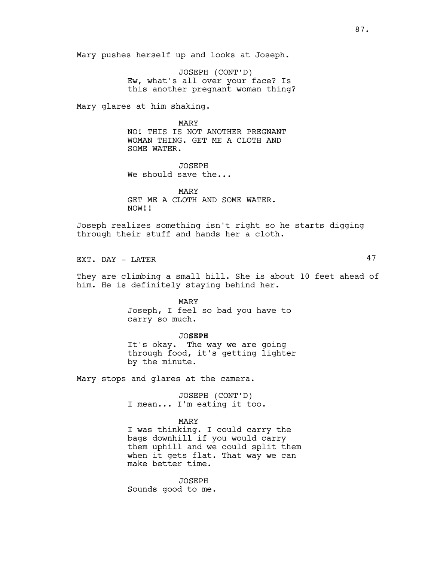Mary pushes herself up and looks at Joseph.

JOSEPH (CONT'D) Ew, what's all over your face? Is this another pregnant woman thing?

Mary glares at him shaking.

MARY NO! THIS IS NOT ANOTHER PREGNANT WOMAN THING. GET ME A CLOTH AND SOME WATER.

JOSEPH We should save the...

MARY GET ME A CLOTH AND SOME WATER. NOW!!

Joseph realizes something isn't right so he starts digging through their stuff and hands her a cloth.

EXT. DAY - LATER 47

They are climbing a small hill. She is about 10 feet ahead of him. He is definitely staying behind her.

> MARY Joseph, I feel so bad you have to carry so much.

JOSEPH It's okay. The way we are going through food, it's getting lighter by the minute.

Mary stops and glares at the camera.

JOSEPH (CONT'D) I mean... I'm eating it too.

## MARY

I was thinking. I could carry the bags downhill if you would carry them uphill and we could split them when it gets flat. That way we can make better time.

JOSEPH Sounds good to me.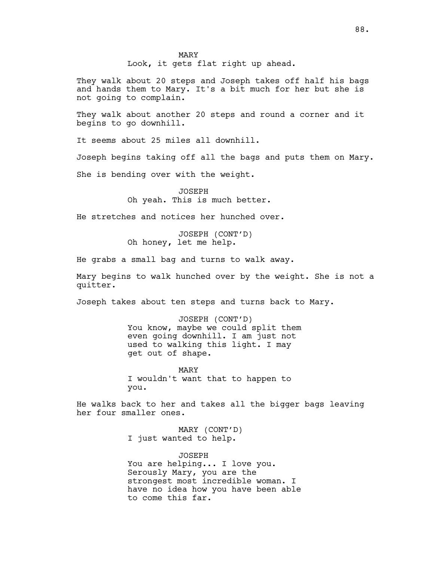Look, it gets flat right up ahead.

They walk about 20 steps and Joseph takes off half his bags and hands them to Mary. It's a bit much for her but she is not going to complain.

They walk about another 20 steps and round a corner and it begins to go downhill.

It seems about 25 miles all downhill.

Joseph begins taking off all the bags and puts them on Mary.

She is bending over with the weight.

JOSEPH Oh yeah. This is much better.

He stretches and notices her hunched over.

JOSEPH (CONT'D) Oh honey, let me help.

He grabs a small bag and turns to walk away.

Mary begins to walk hunched over by the weight. She is not a quitter.

Joseph takes about ten steps and turns back to Mary.

JOSEPH (CONT'D) You know, maybe we could split them even going downhill. I am just not used to walking this light. I may get out of shape.

MARY I wouldn't want that to happen to you.

He walks back to her and takes all the bigger bags leaving her four smaller ones.

> MARY (CONT'D) I just wanted to help.

JOSEPH You are helping... I love you. Serously Mary, you are the strongest most incredible woman. I have no idea how you have been able to come this far.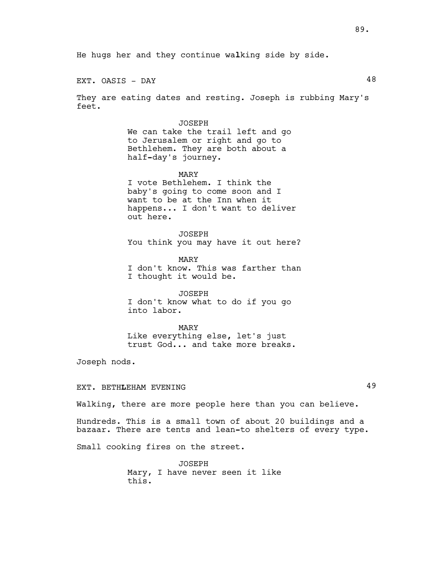He hugs her and they continue walking side by side.

EXT. OASIS - DAY 48

They are eating dates and resting. Joseph is rubbing Mary's feet.

#### JOSEPH

We can take the trail left and go to Jerusalem or right and go to Bethlehem. They are both about a half-day's journey.

MARY I vote Bethlehem. I think the

baby's going to come soon and I want to be at the Inn when it happens... I don't want to deliver out here.

JOSEPH You think you may have it out here?

MARY I don't know. This was farther than I thought it would be.

JOSEPH I don't know what to do if you go into labor.

MARY Like everything else, let's just trust God... and take more breaks.

Joseph nods.

# EXT. BETHLEHAM EVENING 49

Walking, there are more people here than you can believe.

Hundreds. This is a small town of about 20 buildings and a bazaar. There are tents and lean-to shelters of every type.

Small cooking fires on the street.

JOSEPH Mary, I have never seen it like this.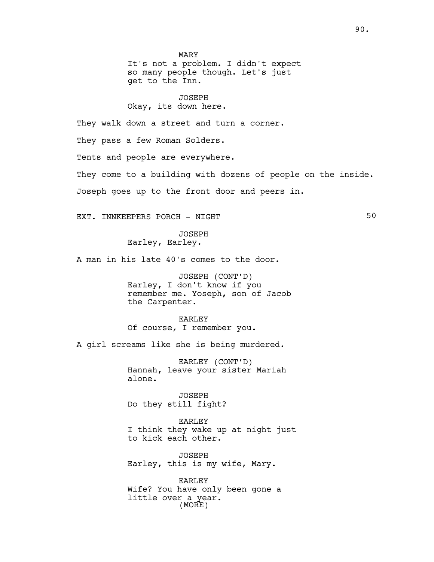MARY It's not a problem. I didn't expect so many people though. Let's just get to the Inn.

JOSEPH Okay, its down here.

They walk down a street and turn a corner.

They pass a few Roman Solders.

Tents and people are everywhere.

They come to a building with dozens of people on the inside.

Joseph goes up to the front door and peers in.

EXT. INNKEEPERS PORCH - NIGHT SO

JOSEPH Earley, Earley.

A man in his late 40's comes to the door.

JOSEPH (CONT'D) Earley, I don't know if you remember me. Yoseph, son of Jacob the Carpenter.

EARLEY Of course, I remember you.

A girl screams like she is being murdered.

EARLEY (CONT'D) Hannah, leave your sister Mariah alone.

JOSEPH Do they still fight?

EARLEY I think they wake up at night just to kick each other.

JOSEPH Earley, this is my wife, Mary.

EARLEY Wife? You have only been gone a little over a year. (MORE)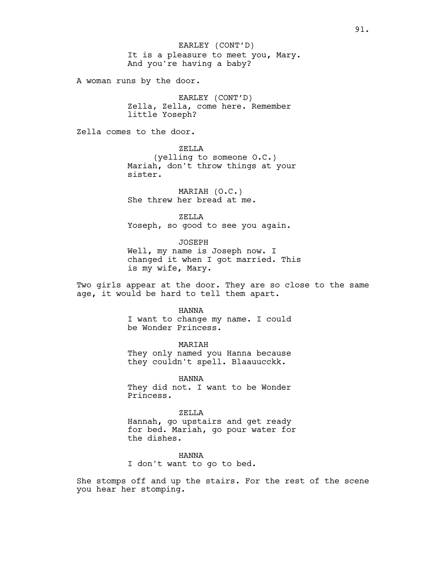It is a pleasure to meet you, Mary. And you're having a baby? EARLEY (CONT'D)

A woman runs by the door.

EARLEY (CONT'D) Zella, Zella, come here. Remember little Yoseph?

Zella comes to the door.

ZELLA (yelling to someone O.C.) Mariah, don't throw things at your sister.

MARIAH (O.C.) She threw her bread at me.

ZELLA Yoseph, so good to see you again.

JOSEPH Well, my name is Joseph now. I changed it when I got married. This is my wife, Mary.

Two girls appear at the door. They are so close to the same age, it would be hard to tell them apart.

HANNA

I want to change my name. I could be Wonder Princess.

MARIAH They only named you Hanna because they couldn't spell. Blaauucckk.

HANNA They did not. I want to be Wonder Princess.

ZELLA Hannah, go upstairs and get ready for bed. Mariah, go pour water for the dishes.

HANNA I don't want to go to bed.

She stomps off and up the stairs. For the rest of the scene you hear her stomping.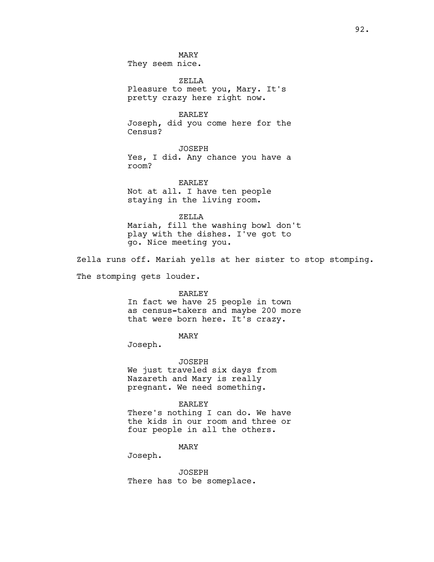ZELLA Pleasure to meet you, Mary. It's pretty crazy here right now.

EARLEY Joseph, did you come here for the Census?

JOSEPH Yes, I did. Any chance you have a room?

EARLEY Not at all. I have ten people staying in the living room.

ZELLA Mariah, fill the washing bowl don't play with the dishes. I've got to go. Nice meeting you.

Zella runs off. Mariah yells at her sister to stop stomping.

The stomping gets louder.

#### EARLEY

In fact we have 25 people in town as census-takers and maybe 200 more that were born here. It's crazy.

## MARY

Joseph.

JOSEPH We just traveled six days from Nazareth and Mary is really pregnant. We need something.

#### EARLEY

There's nothing I can do. We have the kids in our room and three or four people in all the others.

## MARY

Joseph.

JOSEPH There has to be someplace.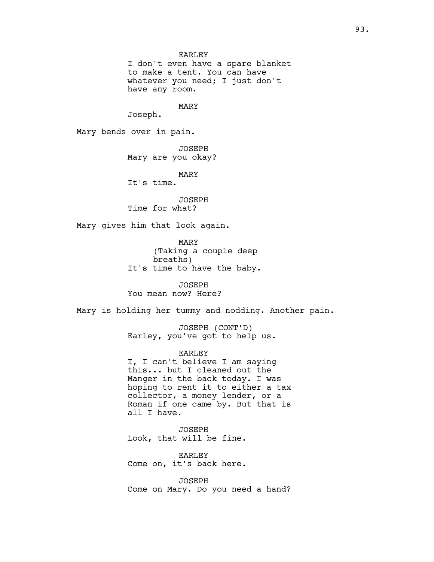I don't even have a spare blanket to make a tent. You can have whatever you need; I just don't have any room.

MARY

Joseph.

Mary bends over in pain.

JOSEPH Mary are you okay?

MARY

It's time.

JOSEPH Time for what?

Mary gives him that look again.

MARY (Taking a couple deep breaths) It's time to have the baby.

JOSEPH You mean now? Here?

Mary is holding her tummy and nodding. Another pain.

JOSEPH (CONT'D) Earley, you've got to help us.

EARLEY

I, I can't believe I am saying this... but I cleaned out the Manger in the back today. I was hoping to rent it to either a tax collector, a money lender, or a Roman if one came by. But that is all I have.

JOSEPH Look, that will be fine.

EARLEY Come on, it's back here.

JOSEPH Come on Mary. Do you need a hand?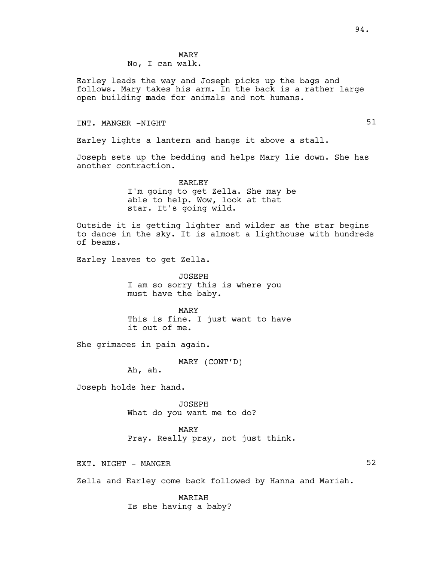MARY No, I can walk.

Earley leads the way and Joseph picks up the bags and follows. Mary takes his arm. In the back is a rather large open building made for animals and not humans.

# INT. MANGER -NIGHT 51

Earley lights a lantern and hangs it above a stall.

Joseph sets up the bedding and helps Mary lie down. She has another contraction.

> EARLEY I'm going to get Zella. She may be able to help. Wow, look at that star. It's going wild.

Outside it is getting lighter and wilder as the star begins to dance in the sky. It is almost a lighthouse with hundreds of beams.

Earley leaves to get Zella.

JOSEPH I am so sorry this is where you must have the baby.

MARY This is fine. I just want to have it out of me.

She grimaces in pain again.

MARY (CONT'D)

Ah, ah.

Joseph holds her hand.

JOSEPH What do you want me to do?

MARY

Pray. Really pray, not just think.

EXT. NIGHT - MANGER 52

Zella and Earley come back followed by Hanna and Mariah.

MARIAH

Is she having a baby?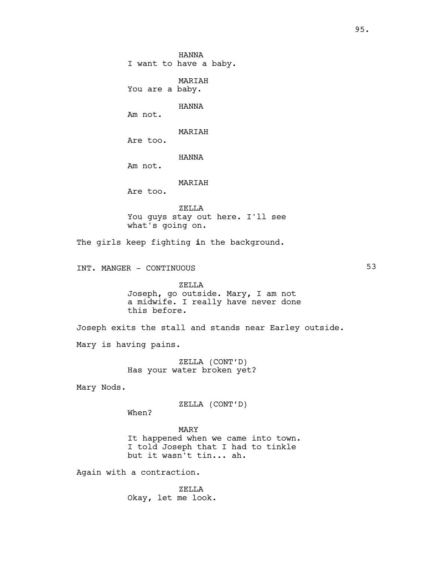HANNA I want to have a baby. MARIAH You are a baby. HANNA Am not. MARIAH Are too. HANNA Am not. MARIAH Are too. ZELLA You guys stay out here. I'll see what's going on. The girls keep fighting in the background. INT. MANGER - CONTINUOUS 53 ZELLA Joseph, go outside. Mary, I am not a midwife. I really have never done this before. Joseph exits the stall and stands near Earley outside. Mary is having pains. ZELLA (CONT'D) Has your water broken yet? Mary Nods. ZELLA (CONT'D) When? MARY It happened when we came into town. I told Joseph that I had to tinkle but it wasn't tin... ah. Again with a contraction.

ZELLA Okay, let me look.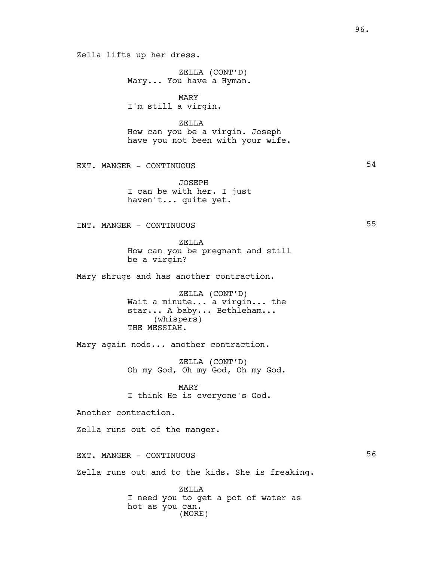ZELLA (CONT'D) Mary... You have a Hyman.

MARY I'm still a virgin.

ZELLA

How can you be a virgin. Joseph have you not been with your wife.

EXT. MANGER - CONTINUOUS 54

JOSEPH I can be with her. I just haven't... quite yet.

INT. MANGER - CONTINUOUS 55

ZELLA How can you be pregnant and still be a virgin?

Mary shrugs and has another contraction.

ZELLA (CONT'D) Wait a minute... a virgin... the star... A baby... Bethleham... (whispers) THE MESSIAH.

Mary again nods... another contraction.

ZELLA (CONT'D) Oh my God, Oh my God, Oh my God.

MARY I think He is everyone's God.

Another contraction.

Zella runs out of the manger.

EXT. MANGER - CONTINUOUS

Zella runs out and to the kids. She is freaking.

ZELLA I need you to get a pot of water as hot as you can. (MORE)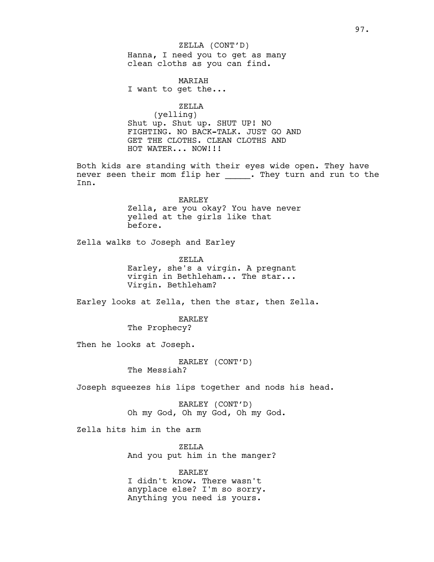Hanna, I need you to get as many clean cloths as you can find. ZELLA (CONT'D)

MARIAH I want to get the...

ZELLA (yelling) Shut up. Shut up. SHUT UP! NO FIGHTING. NO BACK-TALK. JUST GO AND GET THE CLOTHS. CLEAN CLOTHS AND HOT WATER... NOW!!!

Both kids are standing with their eyes wide open. They have never seen their mom flip her \_\_\_\_\_. They turn and run to the Inn.

> EARLEY Zella, are you okay? You have never yelled at the girls like that before.

Zella walks to Joseph and Earley

ZELLA Earley, she's a virgin. A pregnant virgin in Bethleham... The star... Virgin. Bethleham?

Earley looks at Zella, then the star, then Zella.

EARLEY The Prophecy?

Then he looks at Joseph.

EARLEY (CONT'D) The Messiah?

Joseph squeezes his lips together and nods his head.

EARLEY (CONT'D) Oh my God, Oh my God, Oh my God.

Zella hits him in the arm

ZELLA And you put him in the manger?

EARLEY I didn't know. There wasn't anyplace else? I'm so sorry. Anything you need is yours.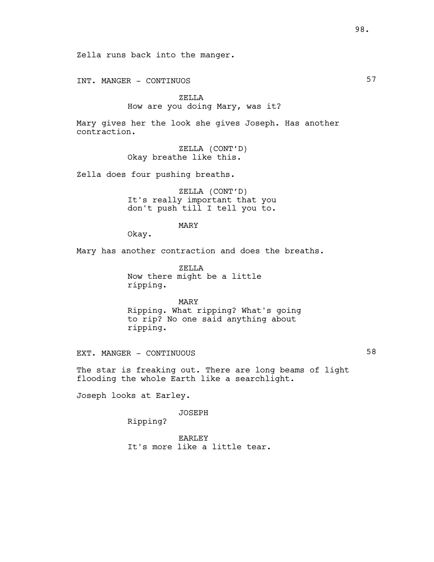Zella runs back into the manger.

INT. MANGER - CONTINUOS

# ZELLA How are you doing Mary, was it?

Mary gives her the look she gives Joseph. Has another contraction.

> ZELLA (CONT'D) Okay breathe like this.

Zella does four pushing breaths.

ZELLA (CONT'D) It's really important that you don't push till I tell you to.

MARY

Okay.

Mary has another contraction and does the breaths.

ZELLA Now there might be a little ripping.

MARY Ripping. What ripping? What's going to rip? No one said anything about ripping.

EXT. MANGER - CONTINUOUS 58

The star is freaking out. There are long beams of light flooding the whole Earth like a searchlight.

Joseph looks at Earley.

JOSEPH

Ripping?

EARLEY It's more like a little tear.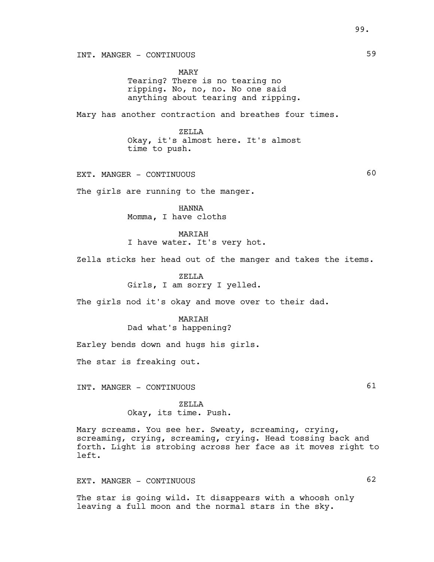INT. MANGER - CONTINUOUS 59

MARY Tearing? There is no tearing no ripping. No, no, no. No one said anything about tearing and ripping.

Mary has another contraction and breathes four times.

ZELLA Okay, it's almost here. It's almost time to push.

EXT. MANGER - CONTINUOUS 60

The girls are running to the manger.

HANNA Momma, I have cloths

MARIAH I have water. It's very hot.

Zella sticks her head out of the manger and takes the items.

ZELLA Girls, I am sorry I yelled.

The girls nod it's okay and move over to their dad.

MARIAH Dad what's happening?

Earley bends down and hugs his girls.

The star is freaking out.

INT. MANGER - CONTINUOUS 61

ZELLA Okay, its time. Push.

Mary screams. You see her. Sweaty, screaming, crying, screaming, crying, screaming, crying. Head tossing back and forth. Light is strobing across her face as it moves right to left.

EXT. MANGER - CONTINUOUS 62

The star is going wild. It disappears with a whoosh only leaving a full moon and the normal stars in the sky.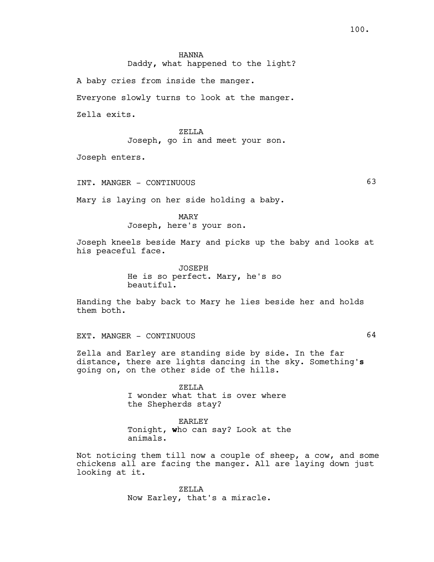Daddy, what happened to the light?

A baby cries from inside the manger.

Everyone slowly turns to look at the manger.

Zella exits.

ZELLA Joseph, go in and meet your son.

Joseph enters.

INT. MANGER - CONTINUOUS 63

Mary is laying on her side holding a baby.

MARY Joseph, here's your son.

Joseph kneels beside Mary and picks up the baby and looks at his peaceful face.

> JOSEPH He is so perfect. Mary, he's so beautiful.

Handing the baby back to Mary he lies beside her and holds them both.

EXT. MANGER - CONTINUOUS 64

Zella and Earley are standing side by side. In the far distance, there are lights dancing in the sky. Something's going on, on the other side of the hills.

> ZELLA I wonder what that is over where the Shepherds stay?

EARLEY Tonight, who can say? Look at the animals.

Not noticing them till now a couple of sheep, a cow, and some chickens all are facing the manger. All are laying down just looking at it.

> ZELLA Now Earley, that's a miracle.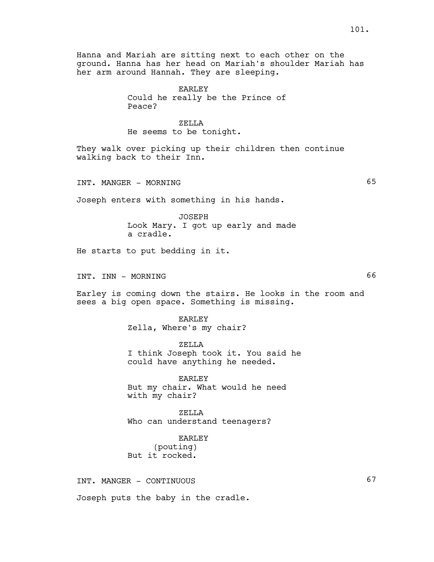Hanna and Mariah are sitting next to each other on the ground. Hanna has her head on Mariah's shoulder Mariah has her arm around Hannah. They are sleeping.

> EARLEY Could he really be the Prince of Peace?

## ZELLA

He seems to be tonight.

They walk over picking up their children then continue walking back to their Inn.

INT. MANGER - MORNING 65

Joseph enters with something in his hands.

JOSEPH Look Mary. I got up early and made a cradle.

He starts to put bedding in it.

INT. INN - MORNING 66

Earley is coming down the stairs. He looks in the room and sees a big open space. Something is missing.

> EARLEY Zella, Where's my chair?

ZELLA I think Joseph took it. You said he could have anything he needed.

EARLEY But my chair. What would he need with my chair?

ZELLA Who can understand teenagers?

EARLEY (pouting) But it rocked.

INT. MANGER - CONTINUOUS 67 Joseph puts the baby in the cradle.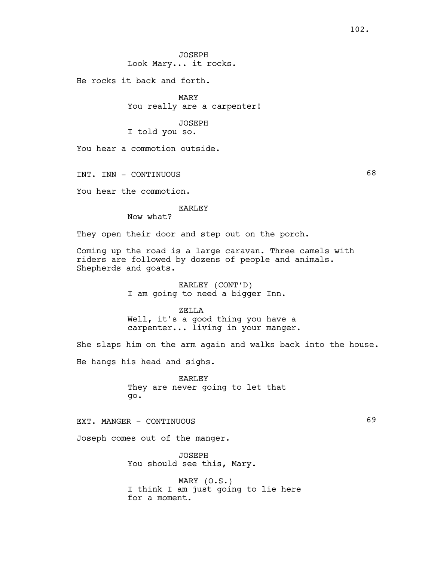JOSEPH Look Mary... it rocks.

He rocks it back and forth.

MARY You really are a carpenter!

JOSEPH I told you so.

You hear a commotion outside.

INT. INN - CONTINUOUS 68

You hear the commotion.

#### EARLEY

Now what?

They open their door and step out on the porch.

Coming up the road is a large caravan. Three camels with riders are followed by dozens of people and animals. Shepherds and goats.

> EARLEY (CONT'D) I am going to need a bigger Inn.

ZELLA Well, it's a good thing you have a carpenter... living in your manger.

She slaps him on the arm again and walks back into the house. He hangs his head and sighs.

> EARLEY They are never going to let that go.

EXT. MANGER - CONTINUOUS

Joseph comes out of the manger.

JOSEPH You should see this, Mary.

MARY (O.S.) I think I am just going to lie here for a moment.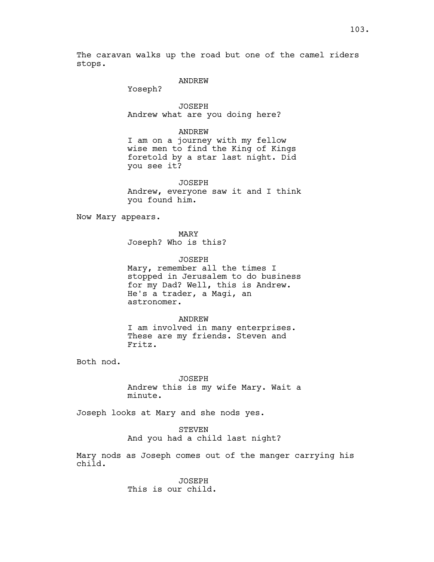The caravan walks up the road but one of the camel riders stops.

#### ANDREW

Yoseph?

JOSEPH Andrew what are you doing here?

#### ANDREW

I am on a journey with my fellow wise men to find the King of Kings foretold by a star last night. Did you see it?

JOSEPH Andrew, everyone saw it and I think you found him.

Now Mary appears.

MARY Joseph? Who is this?

JOSEPH Mary, remember all the times I stopped in Jerusalem to do business for my Dad? Well, this is Andrew. He's a trader, a Magi, an astronomer.

ANDREW I am involved in many enterprises. These are my friends. Steven and Fritz.

Both nod.

JOSEPH Andrew this is my wife Mary. Wait a minute.

Joseph looks at Mary and she nods yes.

STEVEN

And you had a child last night?

Mary nods as Joseph comes out of the manger carrying his child.

> JOSEPH This is our child.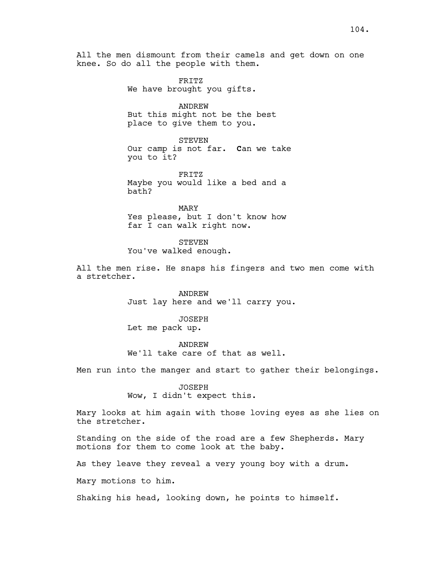All the men dismount from their camels and get down on one knee. So do all the people with them.

> FRITZ We have brought you gifts.

ANDREW But this might not be the best place to give them to you.

STEVEN Our camp is not far. Can we take you to it?

FRITZ Maybe you would like a bed and a bath?

MARY Yes please, but I don't know how far I can walk right now.

**STEVEN** 

You've walked enough.

All the men rise. He snaps his fingers and two men come with a stretcher.

> ANDREW Just lay here and we'll carry you.

JOSEPH Let me pack up.

ANDREW We'll take care of that as well.

Men run into the manger and start to gather their belongings.

JOSEPH Wow, I didn't expect this.

Mary looks at him again with those loving eyes as she lies on the stretcher.

Standing on the side of the road are a few Shepherds. Mary motions for them to come look at the baby.

As they leave they reveal a very young boy with a drum.

Mary motions to him.

Shaking his head, looking down, he points to himself.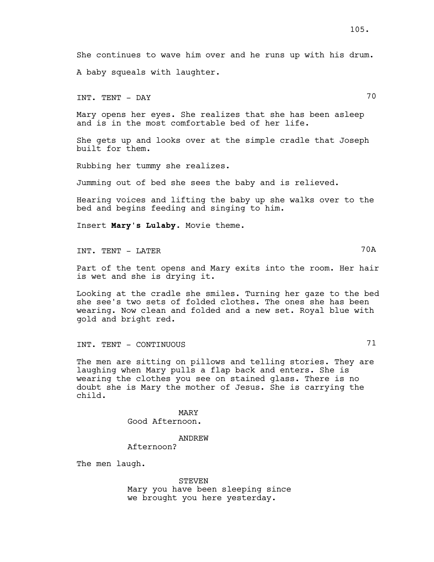She continues to wave him over and he runs up with his drum. A baby squeals with laughter.

INT. TENT – DAY 70

Mary opens her eyes. She realizes that she has been asleep and is in the most comfortable bed of her life.

She gets up and looks over at the simple cradle that Joseph built for them.

Rubbing her tummy she realizes.

Jumming out of bed she sees the baby and is relieved.

Hearing voices and lifting the baby up she walks over to the bed and begins feeding and singing to him.

Insert Mary's Lulaby. Movie theme.

INT. TENT - LATER 70A

Part of the tent opens and Mary exits into the room. Her hair is wet and she is drying it.

Looking at the cradle she smiles. Turning her gaze to the bed she see's two sets of folded clothes. The ones she has been wearing. Now clean and folded and a new set. Royal blue with gold and bright red.

INT. TENT - CONTINUOUS 71

The men are sitting on pillows and telling stories. They are laughing when Mary pulls a flap back and enters. She is wearing the clothes you see on stained glass. There is no doubt she is Mary the mother of Jesus. She is carrying the child.

> MARY Good Afternoon.

ANDREW Afternoon?

The men laugh.

STEVEN Mary you have been sleeping since we brought you here yesterday.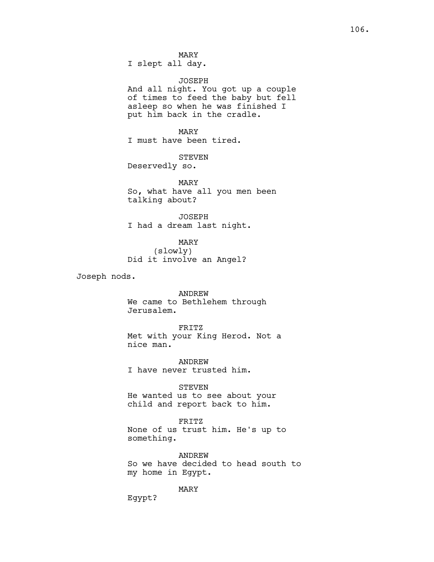JOSEPH And all night. You got up a couple of times to feed the baby but fell asleep so when he was finished I put him back in the cradle.

MARY I must have been tired.

STEVEN Deservedly so.

MARY So, what have all you men been

talking about? JOSEPH

I had a dream last night.

MARY (slowly) Did it involve an Angel?

Joseph nods.

ANDREW We came to Bethlehem through Jerusalem.

FRITZ Met with your King Herod. Not a nice man.

ANDREW I have never trusted him.

STEVEN

He wanted us to see about your child and report back to him.

FRITZ None of us trust him. He's up to something.

ANDREW So we have decided to head south to my home in Egypt.

MARY

Egypt?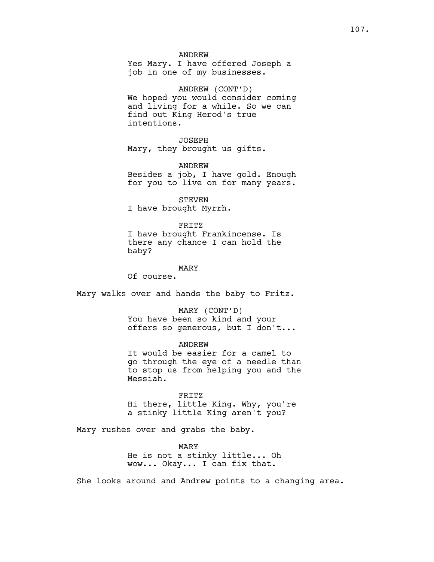Yes Mary. I have offered Joseph a job in one of my businesses.

ANDREW (CONT'D) We hoped you would consider coming and living for a while. So we can find out King Herod's true intentions.

JOSEPH Mary, they brought us gifts.

ANDREW Besides a job, I have gold. Enough for you to live on for many years.

STEVEN I have brought Myrrh.

FRITZ I have brought Frankincense. Is there any chance I can hold the baby?

MARY

Of course.

Mary walks over and hands the baby to Fritz.

MARY (CONT'D) You have been so kind and your offers so generous, but I don't...

ANDREW It would be easier for a camel to go through the eye of a needle than to stop us from helping you and the Messiah.

FRITZ Hi there, little King. Why, you're a stinky little King aren't you?

Mary rushes over and grabs the baby.

MARY He is not a stinky little... Oh wow... Okay... I can fix that.

She looks around and Andrew points to a changing area.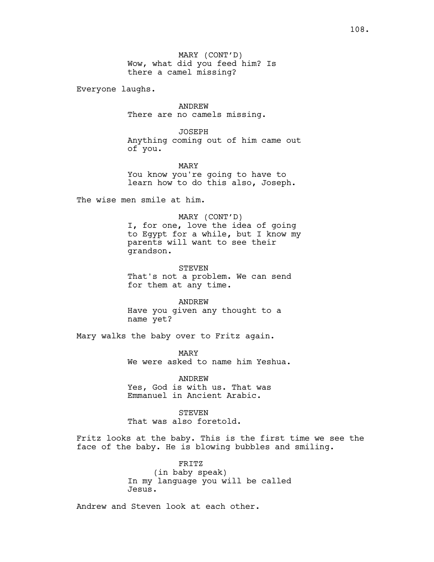MARY (CONT'D) Wow, what did you feed him? Is there a camel missing?

Everyone laughs.

ANDREW There are no camels missing.

JOSEPH Anything coming out of him came out of you.

MARY You know you're going to have to learn how to do this also, Joseph.

The wise men smile at him.

MARY (CONT'D) I, for one, love the idea of going to Egypt for a while, but I know my parents will want to see their grandson.

STEVEN That's not a problem. We can send for them at any time.

ANDREW Have you given any thought to a name yet?

Mary walks the baby over to Fritz again.

MARY We were asked to name him Yeshua.

ANDREW Yes, God is with us. That was Emmanuel in Ancient Arabic.

**STEVEN** That was also foretold.

Fritz looks at the baby. This is the first time we see the face of the baby. He is blowing bubbles and smiling.

> FRITZ (in baby speak) In my language you will be called Jesus.

Andrew and Steven look at each other.